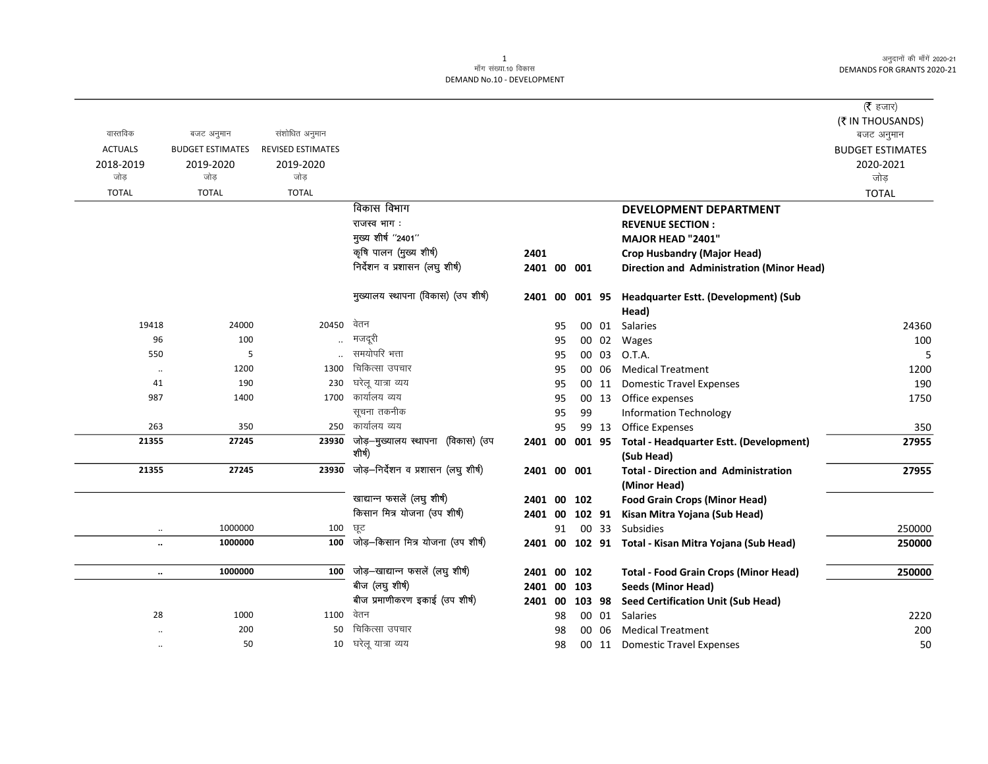|                      |                         |                          |                                             |             |    |     |        |                                                              | ( $\bar{\tau}$ हजार)    |
|----------------------|-------------------------|--------------------------|---------------------------------------------|-------------|----|-----|--------|--------------------------------------------------------------|-------------------------|
|                      |                         |                          |                                             |             |    |     |        |                                                              | (₹ IN THOUSANDS)        |
| वास्तविक             | बजट अनुमान              | संशोधित अनुमान           |                                             |             |    |     |        |                                                              | बजट अनुमान              |
| <b>ACTUALS</b>       | <b>BUDGET ESTIMATES</b> | <b>REVISED ESTIMATES</b> |                                             |             |    |     |        |                                                              | <b>BUDGET ESTIMATES</b> |
| 2018-2019            | 2019-2020               | 2019-2020                |                                             |             |    |     |        |                                                              | 2020-2021               |
| जोड                  | जोड                     | जोड़                     |                                             |             |    |     |        |                                                              | जोड़                    |
| <b>TOTAL</b>         | <b>TOTAL</b>            | <b>TOTAL</b>             |                                             |             |    |     |        |                                                              | <b>TOTAL</b>            |
|                      |                         |                          | विकास विभाग                                 |             |    |     |        | DEVELOPMENT DEPARTMENT                                       |                         |
|                      |                         |                          | राजस्व भाग:                                 |             |    |     |        | <b>REVENUE SECTION:</b>                                      |                         |
|                      |                         |                          | मुख्य शीर्ष "2401"                          |             |    |     |        | MAJOR HEAD "2401"                                            |                         |
|                      |                         |                          | कृषि पालन (मुख्य शीर्ष)                     | 2401        |    |     |        | <b>Crop Husbandry (Major Head)</b>                           |                         |
|                      |                         |                          | निर्देशन व प्रशासन (लघु शीर्ष)              | 2401 00 001 |    |     |        | Direction and Administration (Minor Head)                    |                         |
|                      |                         |                          | मुख्यालय स्थापना (विकास) (उप शीर्ष)         | 2401        | 00 |     |        | 001 95 Headquarter Estt. (Development) (Sub<br>Head)         |                         |
| 19418                | 24000                   | 20450                    | वेतन                                        |             | 95 |     |        | 00 01 Salaries                                               | 24360                   |
| 96                   | 100                     |                          | मजदूरी                                      |             | 95 |     | 00 02  | Wages                                                        | 100                     |
| 550                  | 5                       |                          | समयोपरि भत्ता                               |             | 95 |     | 00 03  | O.T.A.                                                       | 5                       |
| $\cdot\cdot$         | 1200                    | 1300                     | चिकित्सा उपचार                              |             | 95 |     | 00 06  | <b>Medical Treatment</b>                                     | 1200                    |
| 41                   | 190                     | 230                      | घरेल यात्रा व्यय                            |             | 95 |     | 00 11  | <b>Domestic Travel Expenses</b>                              | 190                     |
| 987                  | 1400                    |                          | 1700 कार्यालय व्यय                          |             | 95 |     | 00 13  | Office expenses                                              | 1750                    |
|                      |                         |                          | सूचना तकनीक                                 |             | 95 | 99  |        | <b>Information Technology</b>                                |                         |
| 263                  | 350                     | 250                      | कार्यालय व्यय                               |             | 95 |     | 99 13  | <b>Office Expenses</b>                                       | 350                     |
| 21355                | 27245                   | 23930                    | जोड़–मुख्यालय स्थापना (विकास) (उप<br>शीर्ष) | 2401 00     |    |     |        | 001 95 Total - Headquarter Estt. (Development)<br>(Sub Head) | 27955                   |
| 21355                | 27245                   | 23930                    | जोड़-निर्देशन व प्रशासन (लघु शीर्ष)         | 2401 00 001 |    |     |        | <b>Total - Direction and Administration</b>                  | 27955                   |
|                      |                         |                          |                                             |             |    |     |        | (Minor Head)                                                 |                         |
|                      |                         |                          | खाद्यान्न फसलें (लघु शीर्ष)                 | 2401 00     |    | 102 |        | <b>Food Grain Crops (Minor Head)</b>                         |                         |
|                      |                         |                          | किसान मित्र योजना (उप शीर्ष)                | 2401 00     |    |     | 102 91 | Kisan Mitra Yojana (Sub Head)                                |                         |
| $\ddot{\phantom{0}}$ | 1000000                 | 100                      | छूट                                         |             | 91 |     | 00 33  | <b>Subsidies</b>                                             | 250000                  |
| $\ddot{\phantom{0}}$ | 1000000                 | 100                      | जोड़-किसान मित्र योजना (उप शीर्ष)           |             |    |     |        | 2401 00 102 91 Total - Kisan Mitra Yojana (Sub Head)         | 250000                  |
|                      |                         |                          |                                             |             |    |     |        |                                                              |                         |
| $\ddotsc$            | 1000000                 | 100                      | जोड़-खाद्यान्न फसलें (लघु शीर्ष)            | 2401 00 102 |    |     |        | <b>Total - Food Grain Crops (Minor Head)</b>                 | 250000                  |
|                      |                         |                          | बीज (लघु शीर्ष)                             | 2401 00     |    | 103 |        | <b>Seeds (Minor Head)</b>                                    |                         |
|                      |                         |                          | बीज प्रमाणीकरण इकाई (उप शीर्ष)              | 2401 00     |    |     | 103 98 | <b>Seed Certification Unit (Sub Head)</b>                    |                         |
| 28                   | 1000                    | 1100                     | वेतन                                        |             | 98 |     | 00 01  | Salaries                                                     | 2220                    |
|                      | 200                     | 50                       | चिकित्सा उपचार                              |             | 98 |     | 00 06  | <b>Medical Treatment</b>                                     | 200                     |
|                      | 50                      | 10                       | घरेलू यात्रा व्यय                           |             | 98 |     | 00 11  | <b>Domestic Travel Expenses</b>                              | 50                      |
|                      |                         |                          |                                             |             |    |     |        |                                                              |                         |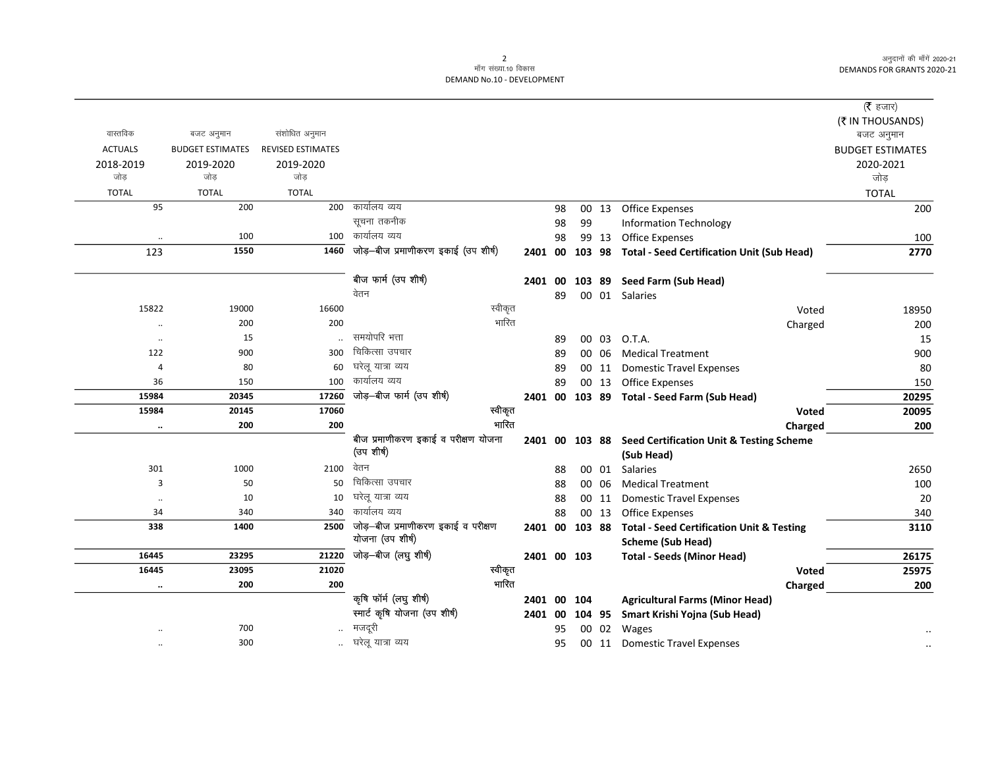|                |                         |                          |                                     |             |    |    |       |                                                         | (रै हजार)               |
|----------------|-------------------------|--------------------------|-------------------------------------|-------------|----|----|-------|---------------------------------------------------------|-------------------------|
|                |                         |                          |                                     |             |    |    |       |                                                         | (₹ IN THOUSANDS)        |
| वास्तविक       | बजट अनुमान              | संशोधित अनुमान           |                                     |             |    |    |       |                                                         | बजट अनुमान              |
| <b>ACTUALS</b> | <b>BUDGET ESTIMATES</b> | <b>REVISED ESTIMATES</b> |                                     |             |    |    |       |                                                         | <b>BUDGET ESTIMATES</b> |
| 2018-2019      | 2019-2020               | 2019-2020                |                                     |             |    |    |       |                                                         | 2020-2021               |
| जोड            | जोड                     | जोड                      |                                     |             |    |    |       |                                                         | जोड                     |
| <b>TOTAL</b>   | <b>TOTAL</b>            | <b>TOTAL</b>             |                                     |             |    |    |       |                                                         | <b>TOTAL</b>            |
| 95             | 200                     | 200                      | कार्यालय व्यय                       |             | 98 |    | 00 13 | <b>Office Expenses</b>                                  | 200                     |
|                |                         |                          | सूचना तकनीक                         |             | 98 | 99 |       | <b>Information Technology</b>                           |                         |
| $\cdot\cdot$   | 100                     | 100                      | कार्यालय व्यय                       |             | 98 |    | 99 13 | <b>Office Expenses</b>                                  | 100                     |
| 123            | 1550                    | 1460                     | जोड़—बीज प्रमाणीकरण इकाई (उप शीर्ष) | 2401 00     |    |    |       | 103 98 Total - Seed Certification Unit (Sub Head)       | 2770                    |
|                |                         |                          | बीज फार्म (उप शीर्ष)                | 2401 00     |    |    |       | 103 89 Seed Farm (Sub Head)                             |                         |
|                |                         |                          | वेतन                                |             | 89 |    |       | 00 01 Salaries                                          |                         |
| 15822          | 19000                   | 16600                    | स्वीकृत                             |             |    |    |       | Voted                                                   | 18950                   |
| $\ddotsc$      | 200                     | 200                      | भारित                               |             |    |    |       | Charged                                                 | 200                     |
| $\ddotsc$      | 15                      |                          | समयोपरि भत्ता                       |             | 89 |    | 00 03 | O.T.A.                                                  | 15                      |
| 122            | 900                     | 300                      | चिकित्सा उपचार                      |             | 89 |    | 00 06 | <b>Medical Treatment</b>                                | 900                     |
| 4              | 80                      | 60                       | घरेलू यात्रा व्यय                   |             | 89 |    | 00 11 | <b>Domestic Travel Expenses</b>                         | 80                      |
| 36             | 150                     | 100                      | कार्यालय व्यय                       |             | 89 |    | 00 13 | <b>Office Expenses</b>                                  | 150                     |
| 15984          | 20345                   | 17260                    | जोड़-बीज फार्म (उप शीर्ष)           |             |    |    |       | 2401 00 103 89 Total - Seed Farm (Sub Head)             | 20295                   |
| 15984          | 20145                   | 17060                    | स्वीकृत                             |             |    |    |       | <b>Voted</b>                                            | 20095                   |
| $\ddotsc$      | 200                     | 200                      | भारित                               |             |    |    |       | Charged                                                 | 200                     |
|                |                         |                          | बीज प्रमाणीकरण इकाई व परीक्षण योजना |             |    |    |       | 2401 00 103 88 Seed Certification Unit & Testing Scheme |                         |
|                |                         |                          | (उप शीर्ष)                          |             |    |    |       | (Sub Head)                                              |                         |
| 301            | 1000                    | 2100                     | वेतन                                |             | 88 |    | 00 01 | Salaries                                                | 2650                    |
| 3              | 50                      | 50                       | चिकित्सा उपचार                      |             | 88 |    | 00 06 | <b>Medical Treatment</b>                                | 100                     |
| $\ddotsc$      | 10                      | 10                       | घरेलू यात्रा व्यय                   |             | 88 |    | 00 11 | <b>Domestic Travel Expenses</b>                         | 20                      |
| 34             | 340                     | 340                      | कार्यालय व्यय                       |             | 88 |    | 00 13 | <b>Office Expenses</b>                                  | 340                     |
| 338            | 1400                    | 2500                     | जोड़—बीज प्रमाणीकरण इकाई व परीक्षण  | 2401 00     |    |    |       | 103 88 Total - Seed Certification Unit & Testing        | 3110                    |
|                |                         |                          | योजना (उप शीर्ष)                    |             |    |    |       | <b>Scheme (Sub Head)</b>                                |                         |
| 16445          | 23295                   | 21220                    | जोड़-बीज (लघु शीर्ष)                | 2401 00 103 |    |    |       | <b>Total - Seeds (Minor Head)</b>                       | 26175                   |
| 16445          | 23095                   | 21020                    | स्वीकृत                             |             |    |    |       | Voted                                                   | 25975                   |
| $\ldots$       | 200                     | 200                      | भारित                               |             |    |    |       | Charged                                                 | 200                     |
|                |                         |                          | कृषि फॉर्म (लघु शीर्ष)              | 2401 00 104 |    |    |       | <b>Agricultural Farms (Minor Head)</b>                  |                         |
|                |                         |                          | स्मार्ट कृषि योजना (उप शीर्ष)       | 2401 00     |    |    |       | 104 95 Smart Krishi Yojna (Sub Head)                    |                         |
|                | 700                     |                          | मजदूरी                              |             | 95 |    | 00 02 | Wages                                                   |                         |
| $\ldots$       | 300                     |                          | घरेलू यात्रा व्यय                   |             | 95 |    |       | 00 11 Domestic Travel Expenses                          |                         |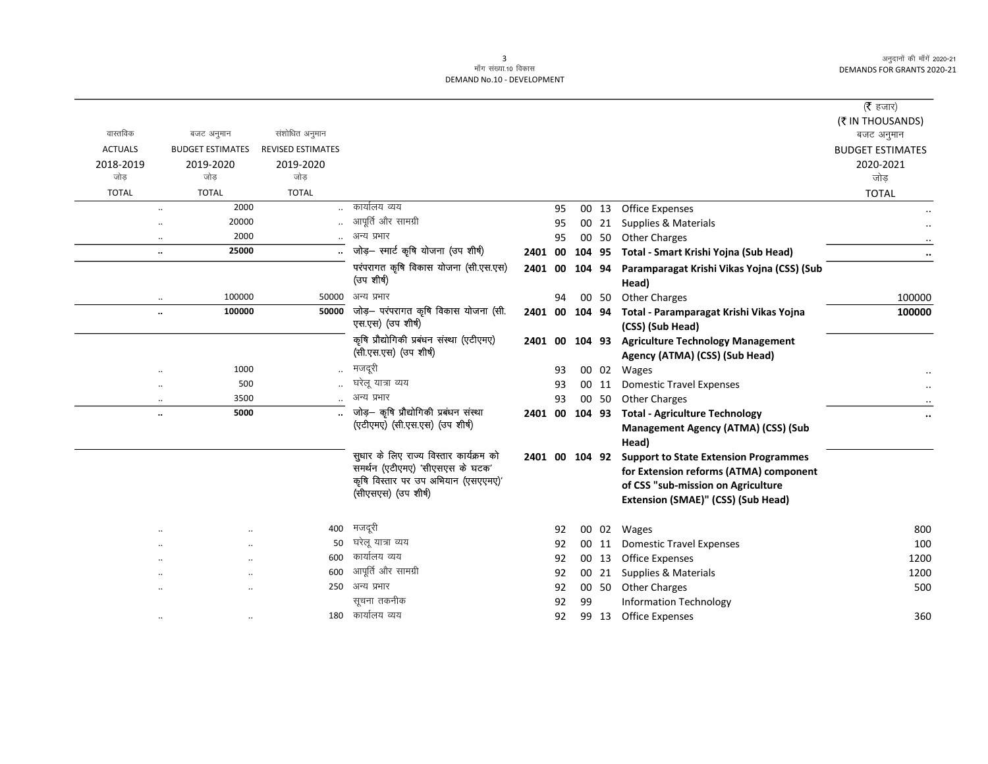$\overline{\phantom{0}}$ 

| वास्तविक             | बजट अनुमान              | संशोधित अनुमान           |                                                                            |         |    |        |       |                                                                    | ( $\bar{\tau}$ हजार)<br>(₹ IN THOUSANDS)<br>बजट अनुमान |
|----------------------|-------------------------|--------------------------|----------------------------------------------------------------------------|---------|----|--------|-------|--------------------------------------------------------------------|--------------------------------------------------------|
| <b>ACTUALS</b>       | <b>BUDGET ESTIMATES</b> | <b>REVISED ESTIMATES</b> |                                                                            |         |    |        |       |                                                                    | <b>BUDGET ESTIMATES</b>                                |
| 2018-2019            | 2019-2020               | 2019-2020                |                                                                            |         |    |        |       |                                                                    | 2020-2021                                              |
| जोड                  | जोड                     | जोड                      |                                                                            |         |    |        |       |                                                                    | जोड                                                    |
| <b>TOTAL</b>         | <b>TOTAL</b>            | <b>TOTAL</b>             |                                                                            |         |    |        |       |                                                                    | <b>TOTAL</b>                                           |
| $\cdot$ .            | 2000                    |                          | कार्यालय व्यय                                                              |         | 95 |        | 00 13 | <b>Office Expenses</b>                                             |                                                        |
| $\ddot{\phantom{0}}$ | 20000                   |                          | आपूर्ति और सामग्री                                                         |         | 95 |        | 00 21 | Supplies & Materials                                               |                                                        |
| $\ddotsc$            | 2000                    |                          | अन्य प्रभार                                                                |         | 95 |        | 00 50 | <b>Other Charges</b>                                               |                                                        |
| $\ldots$             | 25000                   |                          | जोड़- स्मार्ट कृषि योजना (उप शीर्ष)                                        | 2401 00 |    |        |       | 104 95 Total - Smart Krishi Yojna (Sub Head)                       |                                                        |
|                      |                         |                          | परंपरागत कृषि विकास योजना (सी.एस.एस)<br>(उप शीर्ष)                         | 2401 00 |    |        |       | 104 94 Paramparagat Krishi Vikas Yojna (CSS) (Sub<br>Head)         |                                                        |
| $\ddotsc$            | 100000                  | 50000                    | अन्य प्रभार                                                                |         | 94 |        | 00 50 | <b>Other Charges</b>                                               | 100000                                                 |
| $\ldots$             | 100000                  | 50000                    | जोड़— परंपरागत कृषि विकास योजना (सी.<br>एस.एस) (उप शीर्ष)                  | 2401 00 |    |        |       | 104 94 Total - Paramparagat Krishi Vikas Yojna<br>(CSS) (Sub Head) | 100000                                                 |
|                      |                         |                          | कृषि प्रौद्योगिकी प्रबंधन संस्था (एटीएमए)                                  | 2401 00 |    | 104 93 |       | <b>Agriculture Technology Management</b>                           |                                                        |
|                      |                         |                          | (सी.एस.एस) (उप शीर्ष)                                                      |         |    |        |       | Agency (ATMA) (CSS) (Sub Head)                                     |                                                        |
|                      | 1000                    |                          | मजदूरी                                                                     |         | 93 |        |       | 00 02 Wages                                                        |                                                        |
|                      | 500                     |                          | घरेलू यात्रा व्यय                                                          |         | 93 |        | 00 11 | <b>Domestic Travel Expenses</b>                                    |                                                        |
| $\ddot{\phantom{a}}$ | 3500                    |                          | अन्य प्रभार                                                                |         | 93 |        | 00 50 | <b>Other Charges</b>                                               |                                                        |
| $\ddotsc$            | 5000                    |                          | जोड़- कृषि प्रौद्योगिकी प्रबंधन संस्था                                     |         |    |        |       | 2401 00 104 93 Total - Agriculture Technology                      |                                                        |
|                      |                         |                          | (एटीएमए) (सी.एस.एस) (उप शीर्ष)                                             |         |    |        |       | <b>Management Agency (ATMA) (CSS) (Sub</b>                         |                                                        |
|                      |                         |                          |                                                                            |         |    |        |       | Head)                                                              |                                                        |
|                      |                         |                          | सुधार के लिए राज्य विस्तार कार्यक्रम को<br>समर्थन (एटीएमए) 'सीएसएस के घटक' |         |    |        |       | 2401 00 104 92 Support to State Extension Programmes               |                                                        |
|                      |                         |                          | कृषि विस्तार पर उप अभियान (एसएएमए)'                                        |         |    |        |       | for Extension reforms (ATMA) component                             |                                                        |
|                      |                         |                          | (सीएसएस) (उप शीर्ष)                                                        |         |    |        |       | of CSS "sub-mission on Agriculture                                 |                                                        |
|                      |                         |                          |                                                                            |         |    |        |       | Extension (SMAE)" (CSS) (Sub Head)                                 |                                                        |
|                      |                         | 400                      | मजदूरी                                                                     |         | 92 |        |       | 00 02 Wages                                                        | 800                                                    |
|                      |                         | 50                       | घरेलू यात्रा व्यय                                                          |         | 92 |        | 00 11 | <b>Domestic Travel Expenses</b>                                    | 100                                                    |
|                      | $\ddot{\phantom{a}}$    | 600                      | कार्यालय व्यय                                                              |         | 92 |        | 00 13 | <b>Office Expenses</b>                                             | 1200                                                   |
|                      | $\ddot{\phantom{a}}$    | 600                      | आपूर्ति और सामग्री                                                         |         | 92 |        |       | 00 21 Supplies & Materials                                         | 1200                                                   |
|                      |                         |                          | 250 अन्य प्रभार                                                            |         | 92 |        | 00 50 | <b>Other Charges</b>                                               | 500                                                    |
|                      |                         |                          | सूचना तकनीक                                                                |         | 92 | 99     |       | <b>Information Technology</b>                                      |                                                        |
|                      |                         |                          | 180 कार्यालय व्यय                                                          |         | 92 |        |       | 99 13 Office Expenses                                              | 360                                                    |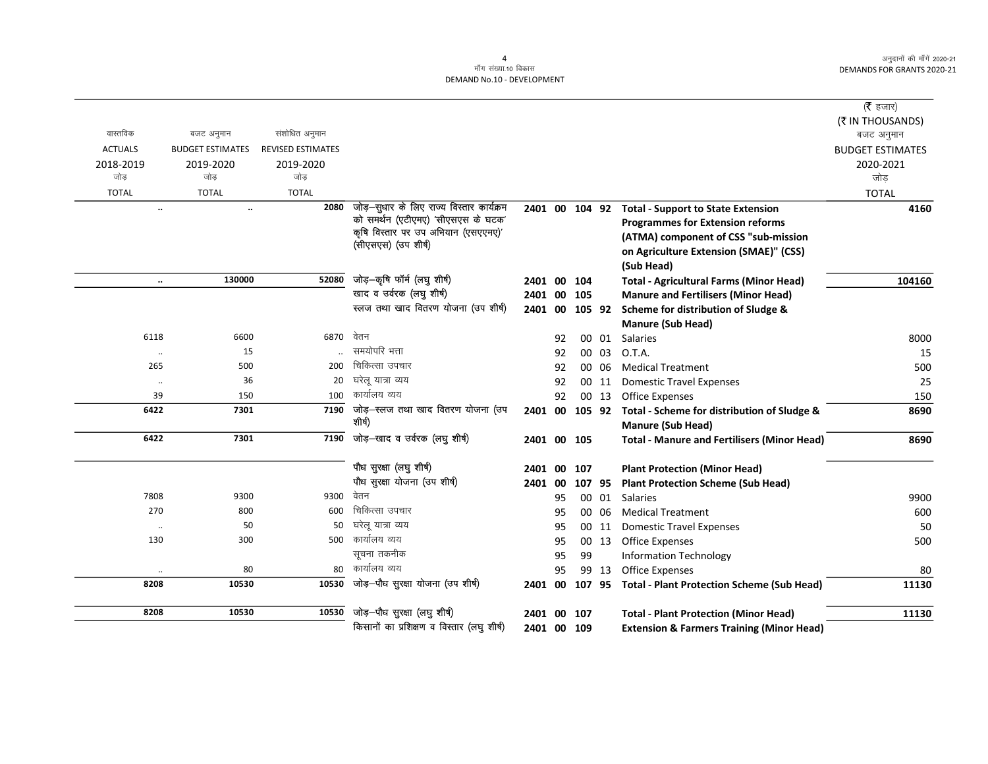|                      |                         |                          |                                                                                 |                |    |             |        |                                                      | ( $\bar{\tau}$ हजार)    |
|----------------------|-------------------------|--------------------------|---------------------------------------------------------------------------------|----------------|----|-------------|--------|------------------------------------------------------|-------------------------|
|                      |                         |                          |                                                                                 |                |    |             |        |                                                      | (₹ IN THOUSANDS)        |
| वास्तविक             | बजट अनुमान              | संशोधित अनुमान           |                                                                                 |                |    |             |        |                                                      | बजट अनुमान              |
| <b>ACTUALS</b>       | <b>BUDGET ESTIMATES</b> | <b>REVISED ESTIMATES</b> |                                                                                 |                |    |             |        |                                                      | <b>BUDGET ESTIMATES</b> |
| 2018-2019            | 2019-2020               | 2019-2020                |                                                                                 |                |    |             |        |                                                      | 2020-2021               |
| जोड                  | जोड                     | जोड                      |                                                                                 |                |    |             |        |                                                      | जोड                     |
| <b>TOTAL</b>         | <b>TOTAL</b>            | <b>TOTAL</b>             |                                                                                 |                |    |             |        |                                                      | <b>TOTAL</b>            |
| $\ddotsc$            | $\ddotsc$               | 2080                     | जोड़-सुधार के लिए राज्य विस्तार कार्यक्रम<br>को समर्थन (एटीएमए) 'सीएसएस के घटक' | 2401 00 104 92 |    |             |        | <b>Total - Support to State Extension</b>            | 4160                    |
|                      |                         |                          | कृषि विस्तार पर उप अभियान (एसएएमए)'                                             |                |    |             |        | <b>Programmes for Extension reforms</b>              |                         |
|                      |                         |                          | (सीएसएस) (उप शीर्ष)                                                             |                |    |             |        | (ATMA) component of CSS "sub-mission                 |                         |
|                      |                         |                          |                                                                                 |                |    |             |        | on Agriculture Extension (SMAE)" (CSS)               |                         |
|                      |                         |                          |                                                                                 |                |    |             |        | (Sub Head)                                           |                         |
| $\ddotsc$            | 130000                  | 52080                    | जोड़-कृषि फॉर्म (लघु शीर्ष)                                                     | 2401 00        |    | 104         |        | <b>Total - Agricultural Farms (Minor Head)</b>       | 104160                  |
|                      |                         |                          | खाद व उर्वरक (लघु शीर्ष)                                                        | 2401 00        |    | 105         |        | <b>Manure and Fertilisers (Minor Head)</b>           |                         |
|                      |                         |                          | स्लज तथा खाद वितरण योजना (उप शीर्ष)                                             | 2401 00        |    | 105 92      |        | Scheme for distribution of Sludge &                  |                         |
|                      |                         |                          |                                                                                 |                |    |             |        | <b>Manure (Sub Head)</b>                             |                         |
| 6118                 | 6600                    | 6870                     | वेतन                                                                            |                | 92 |             | 00 01  | Salaries                                             | 8000                    |
| $\cdot\cdot$         | 15                      |                          | समयोपरि भत्ता                                                                   |                | 92 | 00          | 03     | O.T.A.                                               | 15                      |
| 265                  | 500                     | 200                      | चिकित्सा उपचार                                                                  |                | 92 | 00          | -06    | <b>Medical Treatment</b>                             | 500                     |
| $\ddotsc$            | 36                      | 20                       | घरेलू यात्रा व्यय                                                               |                | 92 |             | 00 11  | <b>Domestic Travel Expenses</b>                      | 25                      |
| 39                   | 150                     | 100                      | कार्यालय व्यय                                                                   |                | 92 |             | 00 13  | <b>Office Expenses</b>                               | 150                     |
| 6422                 | 7301                    | 7190                     | जोड़-स्लज तथा खाद वितरण योजना (उप<br>शीर्ष)                                     | 2401 00        |    | 105 92      |        | Total - Scheme for distribution of Sludge &          | 8690                    |
|                      |                         |                          |                                                                                 |                |    |             |        | <b>Manure (Sub Head)</b>                             |                         |
| 6422                 | 7301                    | 7190                     | जोड़—खाद व उर्वरक (लघु शीर्ष)                                                   |                |    | 2401 00 105 |        | <b>Total - Manure and Fertilisers (Minor Head)</b>   | 8690                    |
|                      |                         |                          | पौध सुरक्षा (लघु शीर्ष)                                                         | 2401 00        |    | 107         |        | <b>Plant Protection (Minor Head)</b>                 |                         |
|                      |                         |                          | पौध सुरक्षा योजना (उप शीर्ष)                                                    | 2401 00        |    |             | 107 95 | <b>Plant Protection Scheme (Sub Head)</b>            |                         |
| 7808                 | 9300                    | 9300                     | वेतन                                                                            |                | 95 |             | 00 01  | <b>Salaries</b>                                      | 9900                    |
| 270                  | 800                     | 600                      | चिकित्सा उपचार                                                                  |                | 95 |             | 00 06  | <b>Medical Treatment</b>                             | 600                     |
| $\cdot\cdot$         | 50                      | 50                       | घरेलू यात्रा व्यय                                                               |                | 95 |             | 00 11  | <b>Domestic Travel Expenses</b>                      | 50                      |
| 130                  | 300                     | 500                      | कार्यालय व्यय                                                                   |                | 95 |             | 00 13  | <b>Office Expenses</b>                               | 500                     |
|                      |                         |                          | सूचना तकनीक                                                                     |                | 95 | 99          |        | <b>Information Technology</b>                        |                         |
| $\ddot{\phantom{a}}$ | 80                      | 80                       | कार्यालय व्यय                                                                   |                | 95 |             | 99 13  | Office Expenses                                      | 80                      |
| 8208                 | 10530                   | 10530                    | जोड़-पौध सुरक्षा योजना (उप शीर्ष)                                               | 2401 00        |    |             |        | 107 95 Total - Plant Protection Scheme (Sub Head)    | 11130                   |
| 8208                 | 10530                   | 10530                    | जोड़-पौध सुरक्षा (लघु शीर्ष)                                                    | 2401 00        |    | 107         |        | <b>Total - Plant Protection (Minor Head)</b>         | 11130                   |
|                      |                         |                          | किसानों का प्रशिक्षण व विस्तार (लघु शीर्ष)                                      |                |    | 2401 00 109 |        | <b>Extension &amp; Farmers Training (Minor Head)</b> |                         |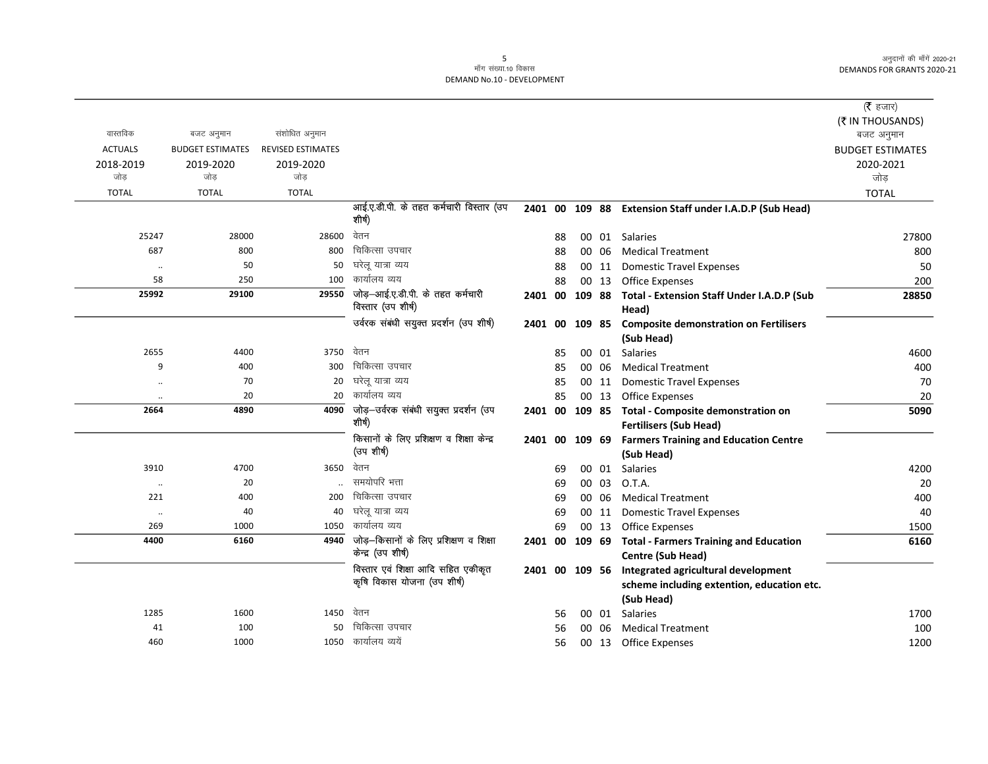|                |                         |                          |                                                        |                |    |       |                                                            | (रै हजार)               |
|----------------|-------------------------|--------------------------|--------------------------------------------------------|----------------|----|-------|------------------------------------------------------------|-------------------------|
|                |                         |                          |                                                        |                |    |       |                                                            | (₹ IN THOUSANDS)        |
| वास्तविक       | बजट अनुमान              | संशोधित अनुमान           |                                                        |                |    |       |                                                            | बजट अनुमान              |
| <b>ACTUALS</b> | <b>BUDGET ESTIMATES</b> | <b>REVISED ESTIMATES</b> |                                                        |                |    |       |                                                            | <b>BUDGET ESTIMATES</b> |
| 2018-2019      | 2019-2020               | 2019-2020                |                                                        |                |    |       |                                                            | 2020-2021               |
| जोड            | जोड                     | जोड                      |                                                        |                |    |       |                                                            | जोड़                    |
| <b>TOTAL</b>   | <b>TOTAL</b>            | <b>TOTAL</b>             |                                                        |                |    |       |                                                            | <b>TOTAL</b>            |
|                |                         |                          | आई.ए.डी.पी. के तहत कर्मचारी विस्तार (उप<br>शीर्ष)      |                |    |       | 2401 00 109 88 Extension Staff under I.A.D.P (Sub Head)    |                         |
|                |                         |                          | वेतन                                                   |                |    |       |                                                            |                         |
| 25247          | 28000                   | 28600                    |                                                        |                | 88 |       | 00 01 Salaries                                             | 27800                   |
| 687            | 800                     | 800                      | चिकित्सा उपचार                                         |                | 88 | 00 06 | <b>Medical Treatment</b>                                   | 800                     |
| $\ddotsc$      | 50                      | 50                       | घरेलू यात्रा व्यय                                      |                | 88 | 00 11 | <b>Domestic Travel Expenses</b>                            | 50                      |
| 58             | 250                     | 100                      | कार्यालय व्यय                                          |                | 88 | 00 13 | <b>Office Expenses</b>                                     | 200                     |
| 25992          | 29100                   | 29550                    | जोड़-आई.ए.डी.पी. के तहत कर्मचारी<br>विस्तार (उप शीर्ष) | 2401 00        |    |       | 109 88 Total - Extension Staff Under I.A.D.P (Sub<br>Head) | 28850                   |
|                |                         |                          | उर्वरक संबंधी सयुक्त प्रदर्शन (उप शीर्ष)               | 2401 00 109 85 |    |       | <b>Composite demonstration on Fertilisers</b>              |                         |
|                |                         |                          |                                                        |                |    |       | (Sub Head)                                                 |                         |
| 2655           | 4400                    | 3750                     | वेतन                                                   |                | 85 | 00 01 | Salaries                                                   | 4600                    |
| 9              | 400                     | 300                      | चिकित्सा उपचार                                         |                | 85 | 00 06 | <b>Medical Treatment</b>                                   | 400                     |
| $\cdot$        | 70                      | 20                       | घरेलू यात्रा व्यय                                      |                | 85 | 00 11 | <b>Domestic Travel Expenses</b>                            | 70                      |
| $\ddotsc$      | 20                      | 20                       | कार्यालय व्यय                                          |                | 85 | 00 13 | Office Expenses                                            | 20                      |
| 2664           | 4890                    | 4090                     | जोड़—उर्वरक संबंधी सयुक्त प्रदर्शन (उप                 |                |    |       | 2401 00 109 85 Total - Composite demonstration on          | 5090                    |
|                |                         |                          | शीर्ष)                                                 |                |    |       | <b>Fertilisers (Sub Head)</b>                              |                         |
|                |                         |                          | किसानों के लिए प्रशिक्षण व शिक्षा केन्द्र              |                |    |       | 2401 00 109 69 Farmers Training and Education Centre       |                         |
|                |                         |                          | (उप शीर्ष)                                             |                |    |       | (Sub Head)                                                 |                         |
| 3910           | 4700                    | 3650                     | वेतन                                                   |                | 69 | 00 01 | <b>Salaries</b>                                            | 4200                    |
| $\cdot\cdot$   | 20                      |                          | समयोपरि भत्ता                                          |                | 69 | 00 03 | O.T.A.                                                     | 20                      |
| 221            | 400                     | 200                      | चिकित्सा उपचार                                         |                | 69 | 00 06 | <b>Medical Treatment</b>                                   | 400                     |
| $\ddotsc$      | 40                      | 40                       | घरेलू यात्रा व्यय                                      |                | 69 | 00 11 | <b>Domestic Travel Expenses</b>                            | 40                      |
| 269            | 1000                    | 1050                     | कार्यालय व्यय                                          |                | 69 | 00 13 | Office Expenses                                            | 1500                    |
| 4400           | 6160                    | 4940                     | जोड़-किसानों के लिए प्रशिक्षण व शिक्षा                 |                |    |       | 2401 00 109 69 Total - Farmers Training and Education      | 6160                    |
|                |                         |                          | केन्द्र (उप शीर्ष)                                     |                |    |       | Centre (Sub Head)                                          |                         |
|                |                         |                          | विस्तार एवं शिक्षा आदि सहित एकीकृत                     |                |    |       | 2401 00 109 56 Integrated agricultural development         |                         |
|                |                         |                          | कृषि विकास योजना (उप शीर्ष)                            |                |    |       | scheme including extention, education etc.                 |                         |
|                |                         |                          |                                                        |                |    |       | (Sub Head)                                                 |                         |
| 1285           | 1600                    | 1450                     | वेतन                                                   |                | 56 | 00 01 | <b>Salaries</b>                                            | 1700                    |
| 41             | 100                     | 50                       | चिकित्सा उपचार                                         |                | 56 | 00 06 | <b>Medical Treatment</b>                                   | 100                     |
| 460            | 1000                    | 1050                     | कार्यालय व्ययें                                        |                | 56 |       | 00 13 Office Expenses                                      | 1200                    |
|                |                         |                          |                                                        |                |    |       |                                                            |                         |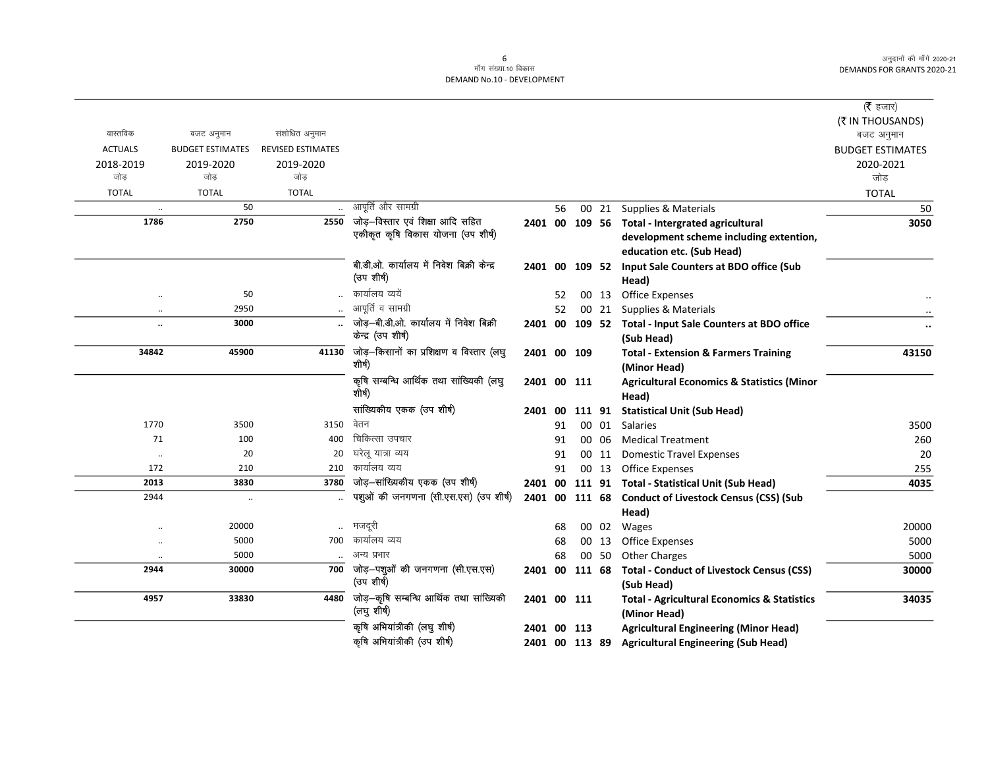|                      |                         |                          |                                                        |                |    |       |                                                                        | ( $\bar{\tau}$ हजार)    |
|----------------------|-------------------------|--------------------------|--------------------------------------------------------|----------------|----|-------|------------------------------------------------------------------------|-------------------------|
|                      |                         |                          |                                                        |                |    |       |                                                                        | (₹ IN THOUSANDS)        |
| वास्तविक             | बजट अनुमान              | संशोधित अनुमान           |                                                        |                |    |       |                                                                        | बजट अनुमान              |
| <b>ACTUALS</b>       | <b>BUDGET ESTIMATES</b> | <b>REVISED ESTIMATES</b> |                                                        |                |    |       |                                                                        | <b>BUDGET ESTIMATES</b> |
| 2018-2019<br>जोड     | 2019-2020<br>जोड        | 2019-2020<br>जोड         |                                                        |                |    |       |                                                                        | 2020-2021               |
|                      |                         |                          |                                                        |                |    |       |                                                                        | जोड़                    |
| <b>TOTAL</b>         | <b>TOTAL</b><br>50      | <b>TOTAL</b>             | आपूर्ति और सामग्री                                     |                |    |       |                                                                        | <b>TOTAL</b>            |
| $\ddot{\phantom{0}}$ |                         |                          | जोड़—विस्तार एवं शिक्षा आदि सहित                       |                | 56 |       | 00 21 Supplies & Materials                                             | 50                      |
| 1786                 | 2750                    | 2550                     | एकीकृत कृषि विकास योजना (उप शीर्ष)                     |                |    |       | 2401 00 109 56 Total - Intergrated agricultural                        | 3050                    |
|                      |                         |                          |                                                        |                |    |       | development scheme including extention,                                |                         |
|                      |                         |                          | बी.डी.ओ. कार्यालय में निवेश बिक्री केन्द्र             |                |    |       | education etc. (Sub Head)                                              |                         |
|                      |                         |                          | (उप शीर्ष)                                             |                |    |       | 2401 00 109 52 Input Sale Counters at BDO office (Sub<br>Head)         |                         |
| $\ddot{\phantom{0}}$ | 50                      |                          | कार्यालय व्ययें                                        |                | 52 |       | 00 13 Office Expenses                                                  |                         |
| $\ddot{\phantom{a}}$ | 2950                    |                          | आपूर्ति व सामग्री                                      |                | 52 |       | 00 21 Supplies & Materials                                             |                         |
|                      | 3000                    |                          | जोड़-बी.डी.ओ. कार्यालय में निवेश बिक्री                |                |    |       | 2401 00 109 52 Total - Input Sale Counters at BDO office               | $\ddot{\phantom{0}}$    |
|                      |                         |                          | केन्द्र (उप शीर्ष)                                     |                |    |       | (Sub Head)                                                             |                         |
| 34842                | 45900                   | 41130                    | जोड़-किसानों का प्रशिक्षण व विस्तार (लघु               | 2401 00 109    |    |       | <b>Total - Extension &amp; Farmers Training</b>                        | 43150                   |
|                      |                         |                          | शीर्ष)                                                 |                |    |       | (Minor Head)                                                           |                         |
|                      |                         |                          | कृषि सम्बन्धि आर्थिक तथा सांख्यिकी (लघु<br>शीर्ष)      | 2401 00 111    |    |       | <b>Agricultural Economics &amp; Statistics (Minor</b><br>Head)         |                         |
|                      |                         |                          | सांख्यिकीय एकक (उप शीर्ष)                              | 2401 00 111 91 |    |       | <b>Statistical Unit (Sub Head)</b>                                     |                         |
| 1770                 | 3500                    | 3150                     | वेतन                                                   |                | 91 | 00 01 | <b>Salaries</b>                                                        | 3500                    |
| 71                   | 100                     | 400                      | चिकित्सा उपचार                                         |                | 91 | 00 06 | <b>Medical Treatment</b>                                               | 260                     |
| $\cdot\cdot$         | 20                      | 20                       | घरेलू यात्रा व्यय                                      |                | 91 | 00 11 | <b>Domestic Travel Expenses</b>                                        | 20                      |
| 172                  | 210                     | 210                      | कार्यालय व्यय                                          |                | 91 |       | 00 13 Office Expenses                                                  | 255                     |
| 2013                 | 3830                    | 3780                     | जोड़-सांख्यिकीय एकक (उप शीर्ष)                         |                |    |       | 2401 00 111 91 Total - Statistical Unit (Sub Head)                     | 4035                    |
| 2944                 | $\ddot{\phantom{0}}$    |                          | पशुओं की जनगणना (सी.एस.एस) (उप शीर्ष)                  |                |    |       | 2401 00 111 68 Conduct of Livestock Census (CSS) (Sub                  |                         |
|                      |                         |                          |                                                        |                |    |       | Head)                                                                  |                         |
| $\ddot{\phantom{a}}$ | 20000                   | $\ddot{\phantom{a}}$     | मजदूरी                                                 |                | 68 |       | 00 02 Wages                                                            | 20000                   |
| $\ddotsc$            | 5000                    | 700                      | कार्यालय व्यय                                          |                | 68 | 00 13 | <b>Office Expenses</b>                                                 | 5000                    |
| $\ddotsc$            | 5000                    |                          | अन्य प्रभार                                            |                | 68 | 00 50 | <b>Other Charges</b>                                                   | 5000                    |
| 2944                 | 30000                   | 700                      | जोड़–पशुओं की जनगणना (सी.एस.एस)<br>(उप शीर्ष)          |                |    |       | 2401 00 111 68 Total - Conduct of Livestock Census (CSS)<br>(Sub Head) | 30000                   |
| 4957                 | 33830                   | 4480                     | जोड़—कृषि सम्बन्धि आर्थिक तथा सांख्यिकी<br>(लघु शीर्ष) | 2401 00 111    |    |       | <b>Total - Agricultural Economics &amp; Statistics</b><br>(Minor Head) | 34035                   |
|                      |                         |                          | कृषि अभियांत्रीकी (लघु शीर्ष)                          | 2401 00 113    |    |       | <b>Agricultural Engineering (Minor Head)</b>                           |                         |
|                      |                         |                          | कृषि अभियांत्रीकी (उप शीर्ष)                           | 2401 00 113 89 |    |       | <b>Agricultural Engineering (Sub Head)</b>                             |                         |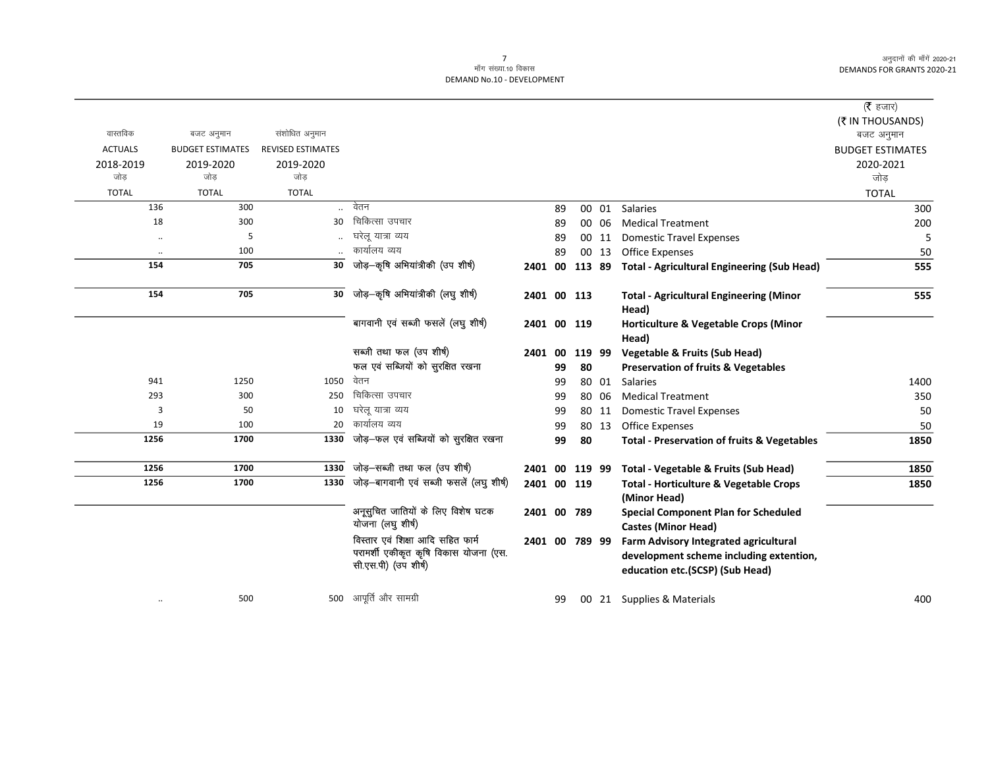|                |                         |                          |                                                                                                    |                |    |    |        |                                                                                                                            | (रै हजार)<br>(₹ IN THOUSANDS) |
|----------------|-------------------------|--------------------------|----------------------------------------------------------------------------------------------------|----------------|----|----|--------|----------------------------------------------------------------------------------------------------------------------------|-------------------------------|
| वास्तविक       | बजट अनुमान              | संशोधित अनुमान           |                                                                                                    |                |    |    |        |                                                                                                                            | बजट अनुमान                    |
| <b>ACTUALS</b> | <b>BUDGET ESTIMATES</b> | <b>REVISED ESTIMATES</b> |                                                                                                    |                |    |    |        |                                                                                                                            | <b>BUDGET ESTIMATES</b>       |
| 2018-2019      | 2019-2020               | 2019-2020                |                                                                                                    |                |    |    |        |                                                                                                                            | 2020-2021                     |
| जोड़           | जोड                     | जोड                      |                                                                                                    |                |    |    |        |                                                                                                                            | जोड                           |
| <b>TOTAL</b>   | <b>TOTAL</b>            | <b>TOTAL</b>             |                                                                                                    |                |    |    |        |                                                                                                                            | <b>TOTAL</b>                  |
| 136            | 300                     | $\ddotsc$                | वेतन                                                                                               |                | 89 |    | 00 01  | <b>Salaries</b>                                                                                                            | 300                           |
| 18             | 300                     | 30                       | चिकित्सा उपचार                                                                                     |                | 89 |    | 00 06  | <b>Medical Treatment</b>                                                                                                   | 200                           |
|                | 5                       |                          | घरेलू यात्रा व्यय                                                                                  |                | 89 |    | 00 11  | <b>Domestic Travel Expenses</b>                                                                                            | 5                             |
|                | 100                     |                          | कार्यालय व्यय                                                                                      |                | 89 |    | 00 13  | <b>Office Expenses</b>                                                                                                     | 50                            |
| 154            | 705                     | 30                       | जोड़-कृषि अभियांत्रीकी (उप शीर्ष)                                                                  | 2401 00 113 89 |    |    |        | <b>Total - Agricultural Engineering (Sub Head)</b>                                                                         | 555                           |
| 154            | 705                     | 30                       | जोड़—कृषि अभियांत्रीकी (लघु शीर्ष)                                                                 | 2401 00 113    |    |    |        | <b>Total - Agricultural Engineering (Minor</b><br>Head)                                                                    | 555                           |
|                |                         |                          | बागवानी एवं सब्जी फसलें (लघु शीर्ष)                                                                | 2401 00 119    |    |    |        | Horticulture & Vegetable Crops (Minor<br>Head)                                                                             |                               |
|                |                         |                          | सब्जी तथा फल (उप शीर्ष)                                                                            | 2401 00        |    |    | 119 99 | <b>Vegetable &amp; Fruits (Sub Head)</b>                                                                                   |                               |
|                |                         |                          | फल एवं सब्जियों को सुरक्षित रखना                                                                   |                | 99 | 80 |        | <b>Preservation of fruits &amp; Vegetables</b>                                                                             |                               |
| 941            | 1250                    | 1050                     | वेतन                                                                                               |                | 99 |    | 80 01  | Salaries                                                                                                                   | 1400                          |
| 293            | 300                     | 250                      | चिकित्सा उपचार                                                                                     |                | 99 |    | 80 06  | <b>Medical Treatment</b>                                                                                                   | 350                           |
| 3              | 50                      | 10                       | घरेलू यात्रा व्यय                                                                                  |                | 99 |    | 80 11  | <b>Domestic Travel Expenses</b>                                                                                            | 50                            |
| 19             | 100                     | 20                       | कार्यालय व्यय                                                                                      |                | 99 |    | 80 13  | <b>Office Expenses</b>                                                                                                     | 50                            |
| 1256           | 1700                    | 1330                     | जोड़-फल एवं सब्जियों को सुरक्षित रखना                                                              |                | 99 | 80 |        | <b>Total - Preservation of fruits &amp; Vegetables</b>                                                                     | 1850                          |
| 1256           | 1700                    | 1330                     | जोड़-सब्जी तथा फल (उप शीर्ष)                                                                       | 2401 00 119 99 |    |    |        | Total - Vegetable & Fruits (Sub Head)                                                                                      | 1850                          |
| 1256           | 1700                    | 1330                     | जोड़-बागवानी एवं सब्जी फसलें (लघु शीर्ष)                                                           | 2401 00 119    |    |    |        | <b>Total - Horticulture &amp; Vegetable Crops</b><br>(Minor Head)                                                          | 1850                          |
|                |                         |                          | अनूसुचित जातियों के लिए विशेष घटक<br>योजना (लघु शीर्ष)                                             | 2401 00 789    |    |    |        | <b>Special Component Plan for Scheduled</b><br><b>Castes (Minor Head)</b>                                                  |                               |
|                |                         |                          | विस्तार एवं शिक्षा आदि सहित फार्म<br>परामर्शी एकीकृत कृषि विकास योजना (एस.<br>सी.एस.पी) (उप शीर्ष) | 2401 00 789 99 |    |    |        | <b>Farm Advisory Integrated agricultural</b><br>development scheme including extention,<br>education etc.(SCSP) (Sub Head) |                               |
| $\cdot\cdot$   | 500                     |                          | 500 आपूर्ति और सामग्री                                                                             |                | 99 |    |        | 00 21 Supplies & Materials                                                                                                 | 400                           |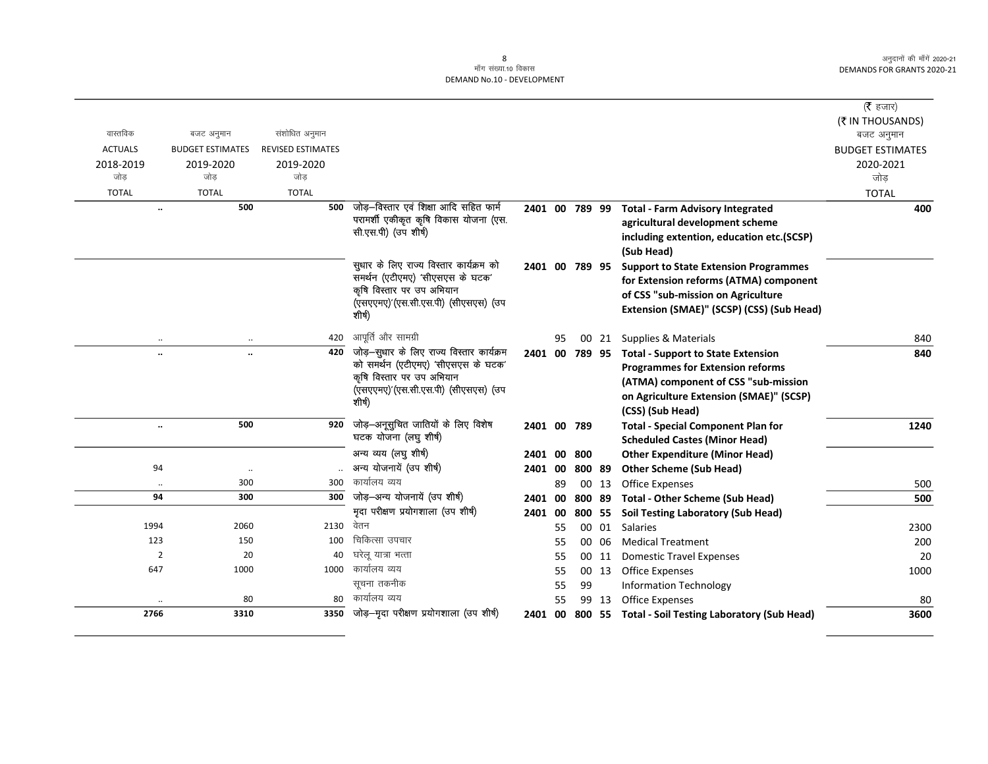|                      |                           |                          |                                                                  |                |    |        |       |                                                   | ( $\bar{\tau}$ हजार)    |
|----------------------|---------------------------|--------------------------|------------------------------------------------------------------|----------------|----|--------|-------|---------------------------------------------------|-------------------------|
|                      |                           |                          |                                                                  |                |    |        |       |                                                   | (₹ IN THOUSANDS)        |
| वास्तविक             | बजट अनुमान                | संशोधित अनुमान           |                                                                  |                |    |        |       |                                                   | बजट अनुमान              |
| <b>ACTUALS</b>       | <b>BUDGET ESTIMATES</b>   | <b>REVISED ESTIMATES</b> |                                                                  |                |    |        |       |                                                   | <b>BUDGET ESTIMATES</b> |
| 2018-2019            | 2019-2020                 | 2019-2020                |                                                                  |                |    |        |       |                                                   | 2020-2021               |
| जोड                  | जोड                       | जोड                      |                                                                  |                |    |        |       |                                                   | जोड                     |
| <b>TOTAL</b>         | <b>TOTAL</b>              | <b>TOTAL</b>             |                                                                  |                |    |        |       |                                                   | <b>TOTAL</b>            |
|                      | 500                       | 500                      | जोड़-विस्तार एवं शिक्षा आदि सहित फार्म                           | 2401 00 789 99 |    |        |       | <b>Total - Farm Advisory Integrated</b>           | 400                     |
|                      |                           |                          | परामर्शी एकीकृत कृषि विकास योजना (एस.                            |                |    |        |       | agricultural development scheme                   |                         |
|                      |                           |                          | सी.एस.पी) (उप शीर्ष)                                             |                |    |        |       | including extention, education etc.(SCSP)         |                         |
|                      |                           |                          |                                                                  |                |    |        |       | (Sub Head)                                        |                         |
|                      |                           |                          | सुधार के लिए राज्य विस्तार कार्यक्रम को                          | 2401 00 789 95 |    |        |       | <b>Support to State Extension Programmes</b>      |                         |
|                      |                           |                          | समर्थन (एटीएमए) 'सीएसएस के घटक'                                  |                |    |        |       | for Extension reforms (ATMA) component            |                         |
|                      |                           |                          | कृषि विस्तार पर उप अभियान<br>(एसएएमए)'(एस.सी.एस.पी) (सीएसएस) (उप |                |    |        |       | of CSS "sub-mission on Agriculture                |                         |
|                      |                           |                          | शीर्ष)                                                           |                |    |        |       | Extension (SMAE)" (SCSP) (CSS) (Sub Head)         |                         |
|                      |                           |                          |                                                                  |                |    |        |       |                                                   |                         |
|                      | $\cdot\cdot$<br>$\ddotsc$ | 420                      | आपूर्ति और सामग्री                                               |                | 95 |        | 00 21 | Supplies & Materials                              | 840                     |
| $\ddot{\phantom{a}}$ | $\ddotsc$                 | 420                      | जोड़-सुधार के लिए राज्य विस्तार कार्यक्रम                        | 2401 00 789 95 |    |        |       | <b>Total - Support to State Extension</b>         | 840                     |
|                      |                           |                          | को समर्थन (एटीएमए) 'सीएसएस के घटक'                               |                |    |        |       | <b>Programmes for Extension reforms</b>           |                         |
|                      |                           |                          | कृषि विस्तार पर उप अभियान<br>(एसएएमए)'(एस.सी.एस.पी) (सीएसएस) (उप |                |    |        |       | (ATMA) component of CSS "sub-mission              |                         |
|                      |                           |                          | शीर्ष)                                                           |                |    |        |       | on Agriculture Extension (SMAE)" (SCSP)           |                         |
|                      |                           |                          |                                                                  |                |    |        |       | (CSS) (Sub Head)                                  |                         |
| $\ldots$             | 500                       | 920                      | जोड़-अनूसुचित जातियों के लिए विशेष                               | 2401 00 789    |    |        |       | <b>Total - Special Component Plan for</b>         | 1240                    |
|                      |                           |                          | घटक योजना (लघु शीर्ष)                                            |                |    |        |       | <b>Scheduled Castes (Minor Head)</b>              |                         |
|                      |                           |                          | अन्य व्यय (लघु शीर्ष)                                            | 2401           | 00 | 800    |       | <b>Other Expenditure (Minor Head)</b>             |                         |
| 94                   | $\ddotsc$                 |                          | अन्य योजनायें (उप शीर्ष)                                         | 2401 00        |    | 800 89 |       | <b>Other Scheme (Sub Head)</b>                    |                         |
| $\ddotsc$            | 300                       | 300                      | कार्यालय व्यय                                                    |                | 89 |        | 00 13 | <b>Office Expenses</b>                            | 500                     |
| 94                   | 300                       | 300                      | जोड़-अन्य योजनायें (उप शीर्ष)                                    | 2401 00        |    | 800 89 |       | <b>Total - Other Scheme (Sub Head)</b>            | 500                     |
|                      |                           |                          | मृदा परीक्षण प्रयोगशाला (उप शीर्ष)                               | 2401 00        |    | 800    | 55    | <b>Soil Testing Laboratory (Sub Head)</b>         |                         |
| 1994                 | 2060                      | 2130                     | वेतन                                                             |                | 55 |        |       | 00 01 Salaries                                    | 2300                    |
| 123                  | 150                       | 100                      | चिकित्सा उपचार                                                   |                | 55 |        | 00 06 | <b>Medical Treatment</b>                          | 200                     |
| $\overline{2}$       | 20                        | 40                       | घरेलू यात्रा भत्ता                                               |                | 55 |        | 00 11 | <b>Domestic Travel Expenses</b>                   | 20                      |
| 647                  | 1000                      |                          | 1000 कार्यालय व्यय                                               |                | 55 |        | 00 13 | <b>Office Expenses</b>                            | 1000                    |
|                      |                           |                          | सूचना तकनीक                                                      |                | 55 | 99     |       | <b>Information Technology</b>                     |                         |
|                      | 80                        | 80                       | कार्यालय व्यय                                                    |                | 55 |        | 99 13 | <b>Office Expenses</b>                            | 80                      |
| 2766                 | 3310                      | 3350                     | जोड़—मृदा परीक्षण प्रयोगशाला (उप शीर्ष)                          | 2401 00        |    |        |       | 800 55 Total - Soil Testing Laboratory (Sub Head) | 3600                    |
|                      |                           |                          |                                                                  |                |    |        |       |                                                   |                         |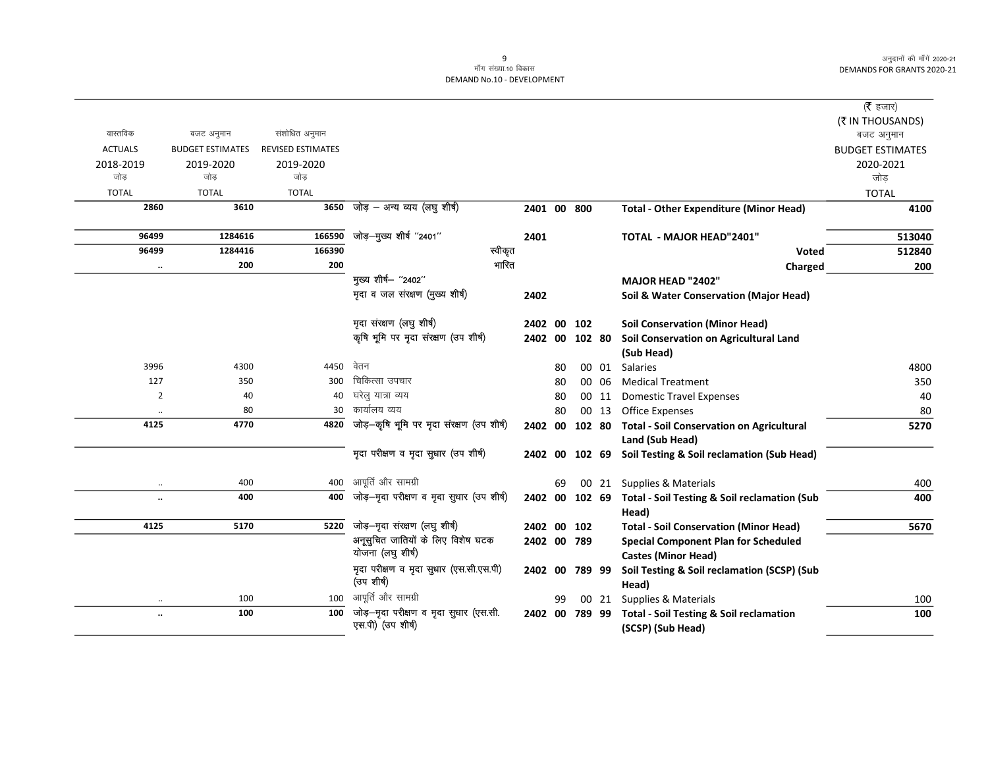|                      |                         |                          |                                                             |                |    |        |       |                                                                         | (रै हजार)               |
|----------------------|-------------------------|--------------------------|-------------------------------------------------------------|----------------|----|--------|-------|-------------------------------------------------------------------------|-------------------------|
|                      |                         |                          |                                                             |                |    |        |       |                                                                         | (₹ IN THOUSANDS)        |
| वास्तविक             | बजट अनुमान              | संशोधित अनुमान           |                                                             |                |    |        |       |                                                                         | बजट अनुमान              |
| <b>ACTUALS</b>       | <b>BUDGET ESTIMATES</b> | <b>REVISED ESTIMATES</b> |                                                             |                |    |        |       |                                                                         | <b>BUDGET ESTIMATES</b> |
| 2018-2019<br>जोड     | 2019-2020<br>जोड        | 2019-2020<br>जोड         |                                                             |                |    |        |       |                                                                         | 2020-2021               |
|                      |                         |                          |                                                             |                |    |        |       |                                                                         | जोड़                    |
| <b>TOTAL</b><br>2860 | <b>TOTAL</b><br>3610    | <b>TOTAL</b><br>3650     | जोड़ – अन्य व्यय (लघु शीर्ष)                                |                |    |        |       |                                                                         | <b>TOTAL</b>            |
|                      |                         |                          |                                                             | 2401 00 800    |    |        |       | <b>Total - Other Expenditure (Minor Head)</b>                           | 4100                    |
| 96499                | 1284616                 | 166590                   | जोड़—मुख्य शीर्ष ''2401''                                   | 2401           |    |        |       | <b>TOTAL - MAJOR HEAD"2401"</b>                                         | 513040                  |
| 96499                | 1284416                 | 166390                   | स्वीकृत                                                     |                |    |        |       | <b>Voted</b>                                                            | 512840                  |
| $\ddot{\phantom{0}}$ | 200                     | 200                      | भारित                                                       |                |    |        |       | Charged                                                                 | 200                     |
|                      |                         |                          | मुख्य शीर्ष- "2402"                                         |                |    |        |       | MAJOR HEAD "2402"                                                       |                         |
|                      |                         |                          | मृदा व जल संरक्षण (मुख्य शीर्ष)                             | 2402           |    |        |       | Soil & Water Conservation (Major Head)                                  |                         |
|                      |                         |                          | मृदा संरक्षण (लघु शीर्ष)                                    | 2402 00        |    | 102    |       | <b>Soil Conservation (Minor Head)</b>                                   |                         |
|                      |                         |                          | कृषि भूमि पर मृदा संरक्षण (उप शीर्ष)                        | 2402           | 00 | 102 80 |       | Soil Conservation on Agricultural Land                                  |                         |
|                      |                         |                          |                                                             |                |    |        |       | (Sub Head)                                                              |                         |
| 3996                 | 4300                    | 4450                     | वेतन                                                        |                | 80 |        | 00 01 | <b>Salaries</b>                                                         | 4800                    |
| 127                  | 350                     | 300                      | चिकित्सा उपचार                                              |                | 80 |        | 00 06 | <b>Medical Treatment</b>                                                | 350                     |
| $\overline{2}$       | 40                      | 40                       | घरेलु यात्रा व्यय                                           |                | 80 |        | 00 11 | <b>Domestic Travel Expenses</b>                                         | 40                      |
|                      | 80                      | 30                       | कार्यालय व्यय                                               |                | 80 |        | 00 13 | <b>Office Expenses</b>                                                  | 80                      |
| 4125                 | 4770                    | 4820                     | जोड़-कृषि भूमि पर मृदा संरक्षण (उप शीर्ष)                   | 2402 00        |    | 102 80 |       | <b>Total - Soil Conservation on Agricultural</b>                        | 5270                    |
|                      |                         |                          |                                                             |                |    |        |       | Land (Sub Head)                                                         |                         |
|                      |                         |                          | मृदा परीक्षण व मृदा सुधार (उप शीर्ष)                        | 2402 00        |    | 102 69 |       | Soil Testing & Soil reclamation (Sub Head)                              |                         |
|                      | 400                     | 400                      | आपूर्ति और सामग्री                                          |                | 69 |        |       | 00 21 Supplies & Materials                                              | 400                     |
|                      | 400                     | 400                      | जोड़-मृदा परीक्षण व मृदा सुधार (उप शीर्ष)                   | 2402 00 102 69 |    |        |       | <b>Total - Soil Testing &amp; Soil reclamation (Sub</b>                 | 400                     |
| 4125                 | 5170                    | 5220                     | जोड़-मृदा संरक्षण (लघु शीर्ष)                               | 2402 00        |    | 102    |       | Head)<br><b>Total - Soil Conservation (Minor Head)</b>                  | 5670                    |
|                      |                         |                          | अनूसुचित जातियों के लिए विशेष घटक                           | 2402 00 789    |    |        |       | <b>Special Component Plan for Scheduled</b>                             |                         |
|                      |                         |                          | योजना (लघु शीर्ष)                                           |                |    |        |       | <b>Castes (Minor Head)</b>                                              |                         |
|                      |                         |                          | मृदा परीक्षण व मृदा सुधार (एस.सी.एस.पी)<br>(उप शीर्ष)       | 2402 00        |    | 789 99 |       | Soil Testing & Soil reclamation (SCSP) (Sub<br>Head)                    |                         |
| $\ddotsc$            | 100                     | 100                      | आपूर्ति और सामग्री                                          |                | 99 |        | 00 21 | Supplies & Materials                                                    | 100                     |
| $\ddot{\phantom{a}}$ | 100                     | 100                      | जोड़-मृदा परीक्षण व मृदा सुधार (एस.सी.<br>एस.पी) (उप शीर्ष) | 2402 00 789 99 |    |        |       | <b>Total - Soil Testing &amp; Soil reclamation</b><br>(SCSP) (Sub Head) | 100                     |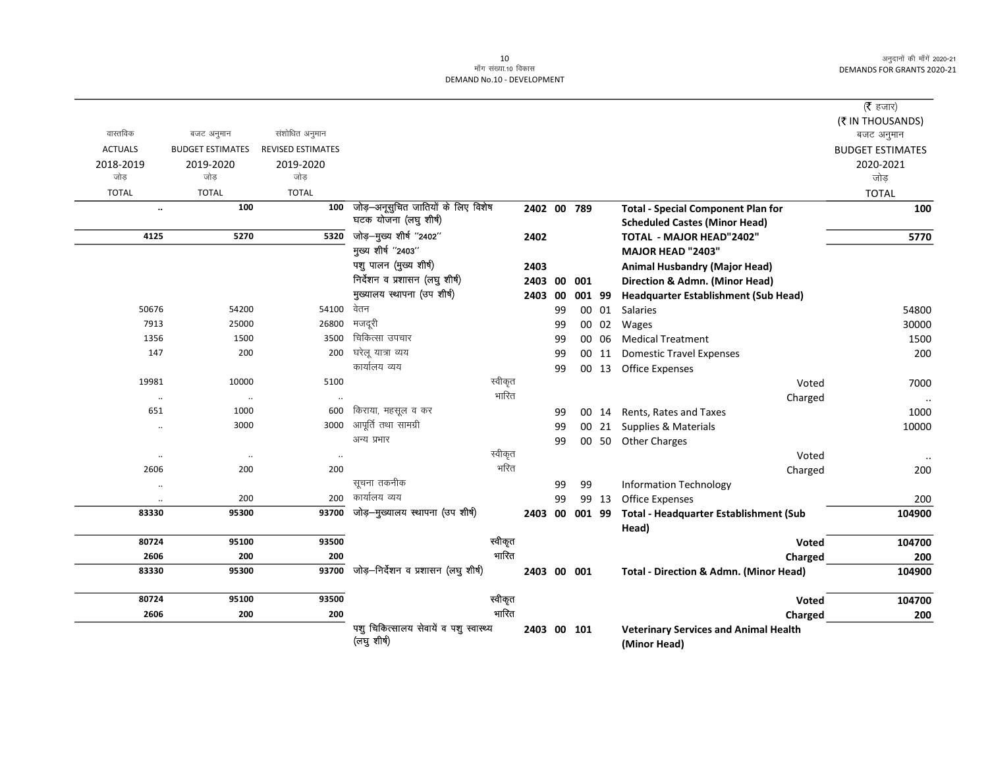$\overline{\phantom{0}}$ 

|                |                         |                          |                                                       |         |                |    |        |       |                                                              | ( $\bar{\tau}$ हजार)<br>(₹ IN THOUSANDS) |
|----------------|-------------------------|--------------------------|-------------------------------------------------------|---------|----------------|----|--------|-------|--------------------------------------------------------------|------------------------------------------|
| वास्तविक       | बजट अनुमान              | संशोधित अनुमान           |                                                       |         |                |    |        |       |                                                              | बजट अनुमान                               |
| <b>ACTUALS</b> | <b>BUDGET ESTIMATES</b> | <b>REVISED ESTIMATES</b> |                                                       |         |                |    |        |       |                                                              | <b>BUDGET ESTIMATES</b>                  |
| 2018-2019      | 2019-2020               | 2019-2020                |                                                       |         |                |    |        |       |                                                              | 2020-2021                                |
| जोड            | जोड                     | जोड                      |                                                       |         |                |    |        |       |                                                              | जोड़                                     |
| <b>TOTAL</b>   | <b>TOTAL</b>            | <b>TOTAL</b>             |                                                       |         |                |    |        |       |                                                              | <b>TOTAL</b>                             |
| $\ldots$       | 100                     | 100                      | जोड़-अनूसुचित जातियों के लिए विशेष                    |         | 2402 00 789    |    |        |       | <b>Total - Special Component Plan for</b>                    | 100                                      |
|                |                         |                          | घटक योजना (लघु शीर्ष)                                 |         |                |    |        |       | <b>Scheduled Castes (Minor Head)</b>                         |                                          |
| 4125           | 5270                    | 5320                     | जोड़-मुख्य शीर्ष "2402"                               |         | 2402           |    |        |       | TOTAL - MAJOR HEAD"2402"                                     | 5770                                     |
|                |                         |                          | मुख्य शीर्ष "2403"                                    |         |                |    |        |       | <b>MAJOR HEAD "2403"</b>                                     |                                          |
|                |                         |                          | पशु पालन (मुख्य शीर्ष)                                |         | 2403           |    |        |       | <b>Animal Husbandry (Major Head)</b>                         |                                          |
|                |                         |                          | निर्देशन व प्रशासन (लघु शीर्ष)                        |         | 2403           | 00 | 001    |       | Direction & Admn. (Minor Head)                               |                                          |
|                |                         |                          | मुख्यालय स्थापना (उप शीर्ष)                           |         | 2403           | 00 | 001 99 |       | Headquarter Establishment (Sub Head)                         |                                          |
| 50676          | 54200                   | 54100 वेतन               |                                                       |         |                | 99 |        | 00 01 | Salaries                                                     | 54800                                    |
| 7913           | 25000                   | 26800                    | मजदूरी                                                |         |                | 99 |        | 00 02 | Wages                                                        | 30000                                    |
| 1356           | 1500                    | 3500                     | चिकित्सा उपचार                                        |         |                | 99 |        | 00 06 | <b>Medical Treatment</b>                                     | 1500                                     |
| 147            | 200                     | 200                      | घरेलू यात्रा व्यय                                     |         |                | 99 |        | 00 11 | <b>Domestic Travel Expenses</b>                              | 200                                      |
|                |                         |                          | कार्यालय व्यय                                         |         |                | 99 |        |       | 00 13 Office Expenses                                        |                                          |
| 19981          | 10000                   | 5100                     |                                                       | स्वीकृत |                |    |        |       | Voted                                                        | 7000                                     |
| $\cdot\cdot$   | $\ldots$                |                          |                                                       | भारित   |                |    |        |       | Charged                                                      | $\ldots$                                 |
| 651            | 1000                    | 600                      | किराया, महसूल व कर                                    |         |                | 99 |        |       | 00 14 Rents, Rates and Taxes                                 | 1000                                     |
| $\cdot\cdot$   | 3000                    | 3000                     | आपूर्ति तथा सामग्री                                   |         |                | 99 |        | 00 21 | Supplies & Materials                                         | 10000                                    |
|                |                         |                          | अन्य प्रभार                                           |         |                | 99 |        |       | 00 50 Other Charges                                          |                                          |
| $\cdot\cdot$   | $\cdot\cdot$            | $\ddot{\phantom{a}}$     |                                                       | स्वीकृत |                |    |        |       | Voted                                                        |                                          |
| 2606           | 200                     | 200                      |                                                       | भरित    |                |    |        |       | Charged                                                      | 200                                      |
|                |                         |                          | सूचना तकनीक                                           |         |                | 99 | 99     |       | <b>Information Technology</b>                                |                                          |
|                | 200                     | 200                      | कार्यालय व्यय                                         |         |                | 99 |        | 99 13 | Office Expenses                                              | 200                                      |
| 83330          | 95300                   | 93700                    | जोड़-मुख्यालय स्थापना (उप शीर्ष)                      |         | 2403 00 001 99 |    |        |       | Total - Headquarter Establishment (Sub                       | 104900                                   |
|                |                         |                          |                                                       |         |                |    |        |       | Head)                                                        |                                          |
| 80724          | 95100                   | 93500                    |                                                       | स्वीकृत |                |    |        |       | Voted                                                        | 104700                                   |
| 2606           | 200                     | 200                      |                                                       | भारित   |                |    |        |       | Charged                                                      | 200                                      |
| 83330          | 95300                   | 93700                    | जोड़-निर्देशन व प्रशासन (लघु शीर्ष)                   |         | 2403 00 001    |    |        |       | <b>Total - Direction &amp; Admn. (Minor Head)</b>            | 104900                                   |
| 80724          | 95100                   | 93500                    |                                                       | स्वीकृत |                |    |        |       | Voted                                                        | 104700                                   |
| 2606           | 200                     | 200                      |                                                       | भारित   |                |    |        |       | Charged                                                      | 200                                      |
|                |                         |                          | पशु चिकित्सालय सेवायें व पशु स्वास्थ्य<br>(लघु शीर्ष) |         | 2403 00 101    |    |        |       | <b>Veterinary Services and Animal Health</b><br>(Minor Head) |                                          |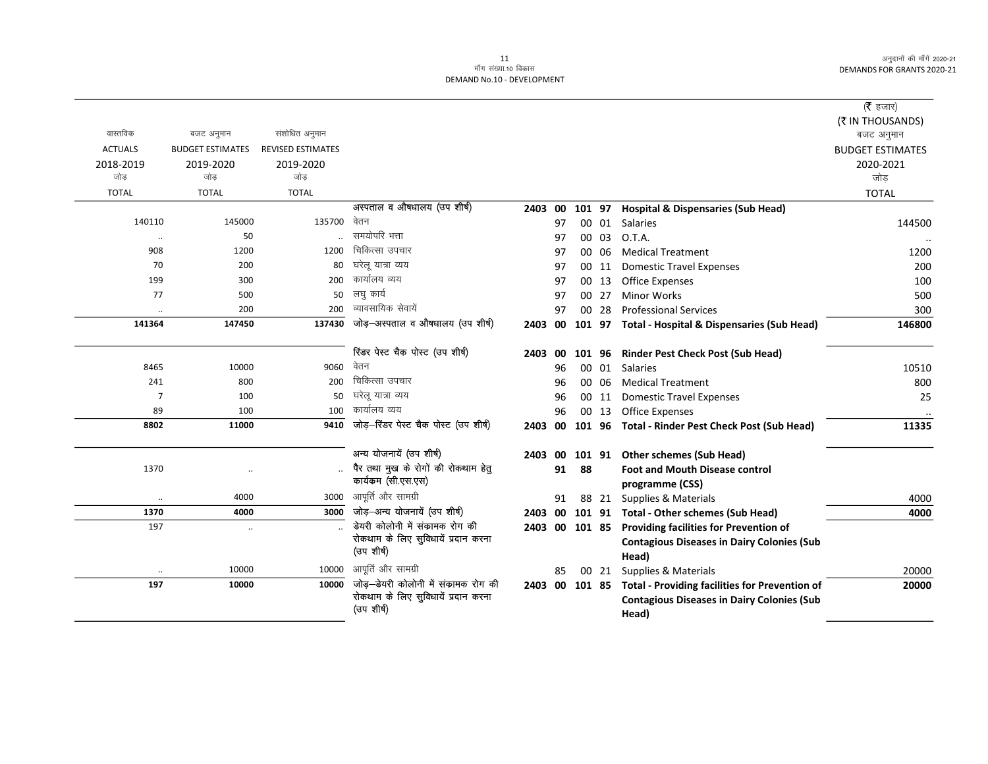| वास्तविक       | बजट अनुमान              | संशोधित अनुमान           |                                       |                |    |        |       |                                                               | ( $\bar{\tau}$ हजार)<br>(₹ IN THOUSANDS)<br>बजट अनुमान |
|----------------|-------------------------|--------------------------|---------------------------------------|----------------|----|--------|-------|---------------------------------------------------------------|--------------------------------------------------------|
| <b>ACTUALS</b> | <b>BUDGET ESTIMATES</b> | <b>REVISED ESTIMATES</b> |                                       |                |    |        |       |                                                               | <b>BUDGET ESTIMATES</b>                                |
| 2018-2019      | 2019-2020               | 2019-2020                |                                       |                |    |        |       |                                                               | 2020-2021                                              |
| जोड            | जोड                     | जोड                      |                                       |                |    |        |       |                                                               | जोड                                                    |
| <b>TOTAL</b>   | <b>TOTAL</b>            | <b>TOTAL</b>             |                                       |                |    |        |       |                                                               | <b>TOTAL</b>                                           |
|                |                         |                          | अस्पताल व औषधालय (उप शीर्ष)           | 2403 00        |    | 101 97 |       | <b>Hospital &amp; Dispensaries (Sub Head)</b>                 |                                                        |
| 140110         | 145000                  | 135700                   | वेतन                                  |                | 97 |        | 00 01 | <b>Salaries</b>                                               | 144500                                                 |
| $\ddotsc$      | 50                      |                          | समयोपरि भत्ता                         |                | 97 |        | 00 03 | O.T.A.                                                        |                                                        |
| 908            | 1200                    | 1200                     | चिकित्सा उपचार                        |                | 97 |        | 00 06 | <b>Medical Treatment</b>                                      | 1200                                                   |
| 70             | 200                     | 80                       | घरेलू यात्रा व्यय                     |                | 97 |        | 00 11 | <b>Domestic Travel Expenses</b>                               | 200                                                    |
| 199            | 300                     | 200                      | कार्यालय व्यय                         |                | 97 |        | 00 13 | <b>Office Expenses</b>                                        | 100                                                    |
| 77             | 500                     | 50                       | लघु कार्य                             |                | 97 |        | 00 27 | <b>Minor Works</b>                                            | 500                                                    |
|                | 200                     | 200                      | व्यावसायिक सेवायें                    |                | 97 |        | 00 28 | <b>Professional Services</b>                                  | 300                                                    |
| 141364         | 147450                  | 137430                   | जोड़-अस्पताल व औषधालय (उप शीर्ष)      | 2403 00        |    |        |       | 101 97 Total - Hospital & Dispensaries (Sub Head)             | 146800                                                 |
|                |                         |                          | रिंडर पेस्ट चैक पोस्ट (उप शीर्ष)      | 2403           | 00 |        |       | 101 96 Rinder Pest Check Post (Sub Head)                      |                                                        |
| 8465           | 10000                   | 9060                     | वेतन                                  |                | 96 |        | 00 01 | <b>Salaries</b>                                               | 10510                                                  |
| 241            | 800                     | 200                      | चिकित्सा उपचार                        |                | 96 |        | 00 06 | <b>Medical Treatment</b>                                      | 800                                                    |
| $\overline{7}$ | 100                     | 50                       | घरेलू यात्रा व्यय                     |                | 96 |        | 00 11 | <b>Domestic Travel Expenses</b>                               | 25                                                     |
| 89             | 100                     | 100                      | कार्यालय व्यय                         |                | 96 |        | 00 13 | <b>Office Expenses</b>                                        |                                                        |
| 8802           | 11000                   | 9410                     | जोड़-रिंडर पेस्ट चैक पोस्ट (उप शीर्ष) | 2403 00        |    |        |       | 101 96 Total - Rinder Pest Check Post (Sub Head)              | 11335                                                  |
|                |                         |                          | अन्य योजनायें (उप शीर्ष)              | 2403 00        |    |        |       | 101 91 Other schemes (Sub Head)                               |                                                        |
| 1370           |                         |                          | पैर तथा मुख के रोगों की रोकथाम हेतु   |                | 91 | 88     |       | <b>Foot and Mouth Disease control</b>                         |                                                        |
|                |                         |                          | कार्यकम (सी.एस.एस)                    |                |    |        |       | programme (CSS)                                               |                                                        |
| $\ldots$       | 4000                    | 3000                     | आपूर्ति और सामग्री                    |                | 91 |        | 88 21 | Supplies & Materials                                          | 4000                                                   |
| 1370           | 4000                    | 3000                     | जोड़-अन्य योजनायें (उप शीर्ष)         | 2403 00        |    |        |       | 101 91 Total - Other schemes (Sub Head)                       | 4000                                                   |
| 197            | $\cdot\cdot$            |                          | डेयरी कोलोनी में संकामक रोग की        | 2403 00 101 85 |    |        |       | Providing facilities for Prevention of                        |                                                        |
|                |                         |                          | रोकथाम के लिए सुविधायें प्रदान करना   |                |    |        |       | <b>Contagious Diseases in Dairy Colonies (Sub</b>             |                                                        |
|                |                         |                          | (उप शीर्ष)                            |                |    |        |       | Head)                                                         |                                                        |
|                | 10000                   | 10000                    | आपूर्ति और सामग्री                    |                | 85 |        |       | 00 21 Supplies & Materials                                    | 20000                                                  |
| 197            | 10000                   | 10000                    | जोड़—डेयरी कोलोनी में संकामक रोग की   |                |    |        |       | 2403 00 101 85 Total - Providing facilities for Prevention of | 20000                                                  |
|                |                         |                          | रोकथाम के लिए सुविधायें प्रदान करना   |                |    |        |       | <b>Contagious Diseases in Dairy Colonies (Sub</b>             |                                                        |
|                |                         |                          | (उप शीर्ष)                            |                |    |        |       | Head)                                                         |                                                        |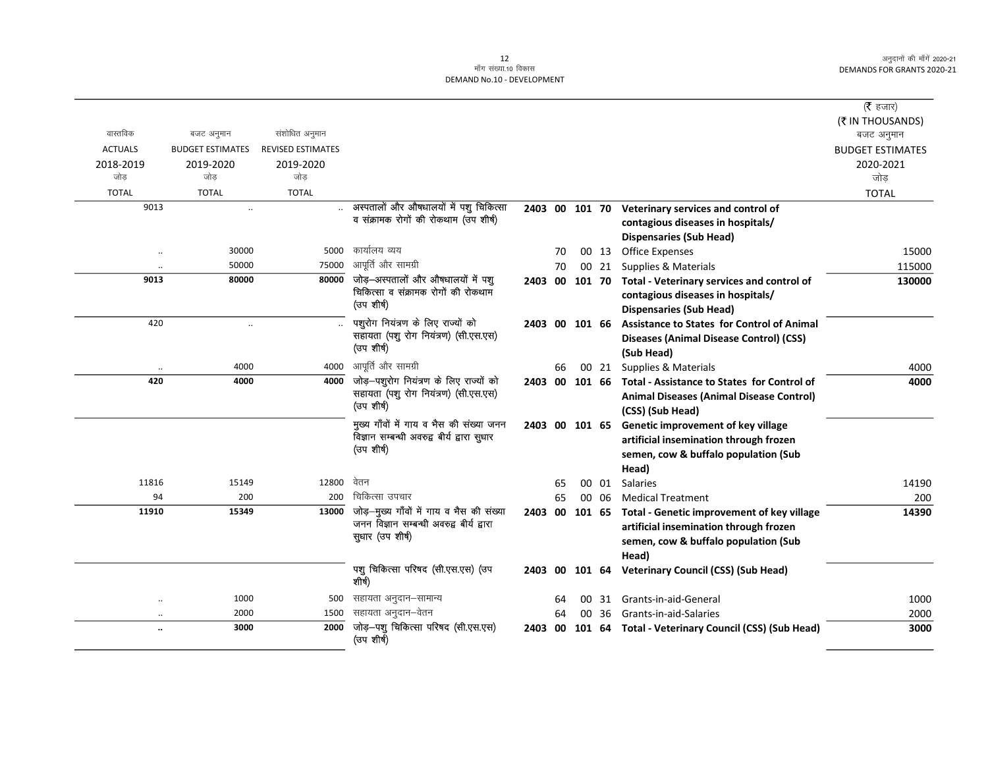|                      |                         |                          |                                                                                         |                |    |    |       |                                                           | ( $\bar{\tau}$ हजार)    |
|----------------------|-------------------------|--------------------------|-----------------------------------------------------------------------------------------|----------------|----|----|-------|-----------------------------------------------------------|-------------------------|
|                      |                         |                          |                                                                                         |                |    |    |       |                                                           | (₹ IN THOUSANDS)        |
| वास्तविक             | बजट अनुमान              | संशोधित अनुमान           |                                                                                         |                |    |    |       |                                                           | बजट अनुमान              |
| <b>ACTUALS</b>       | <b>BUDGET ESTIMATES</b> | <b>REVISED ESTIMATES</b> |                                                                                         |                |    |    |       |                                                           | <b>BUDGET ESTIMATES</b> |
| 2018-2019            | 2019-2020               | 2019-2020                |                                                                                         |                |    |    |       |                                                           | 2020-2021               |
| जोड                  | जोड                     | जोड                      |                                                                                         |                |    |    |       |                                                           | जोड़                    |
| <b>TOTAL</b>         | <b>TOTAL</b>            | <b>TOTAL</b>             |                                                                                         |                |    |    |       |                                                           | <b>TOTAL</b>            |
| 9013                 | $\ddot{\phantom{a}}$    |                          | अस्पतालों और औषधालयों में पशु चिकित्सा                                                  |                |    |    |       | 2403 00 101 70 Veterinary services and control of         |                         |
|                      |                         |                          | व संक्रामक रोगों की रोकथाम (उप शीर्ष)                                                   |                |    |    |       | contagious diseases in hospitals/                         |                         |
|                      |                         |                          |                                                                                         |                |    |    |       | <b>Dispensaries (Sub Head)</b>                            |                         |
| $\ddot{\phantom{0}}$ | 30000                   | 5000                     | कार्यालय व्यय                                                                           |                | 70 |    | 00 13 | <b>Office Expenses</b>                                    | 15000                   |
| $\ddot{\phantom{0}}$ | 50000                   | 75000                    | आपूर्ति और सामग्री                                                                      |                | 70 |    | 00 21 | Supplies & Materials                                      | 115000                  |
| 9013                 | 80000                   | 80000                    | जोड़-अस्पतालों और औषधालयों में पशु                                                      |                |    |    |       | 2403 00 101 70 Total - Veterinary services and control of | 130000                  |
|                      |                         |                          | चिकित्सा व संक्रामक रोगों की रोकथाम<br>(उप शीर्ष)                                       |                |    |    |       | contagious diseases in hospitals/                         |                         |
|                      |                         |                          |                                                                                         |                |    |    |       | <b>Dispensaries (Sub Head)</b>                            |                         |
| 420                  | $\ldots$                |                          | पशुरोग नियंत्रण के लिए राज्यों को                                                       |                |    |    |       | 2403 00 101 66 Assistance to States for Control of Animal |                         |
|                      |                         |                          | सहायता (पशु रोग नियंत्रण) (सी.एस.एस)<br>(उप शीर्ष)                                      |                |    |    |       | Diseases (Animal Disease Control) (CSS)                   |                         |
|                      |                         |                          |                                                                                         |                |    |    |       | (Sub Head)                                                |                         |
|                      | 4000                    | 4000                     | आपूर्ति और सामग्री                                                                      |                | 66 |    |       | 00 21 Supplies & Materials                                | 4000                    |
| 420                  | 4000                    | 4000                     | जोड़-पशुरोग नियंत्रण के लिए राज्यों को                                                  | 2403 00 101 66 |    |    |       | Total - Assistance to States for Control of               | 4000                    |
|                      |                         |                          | सहायता (पशु रोग नियंत्रण) (सी.एस.एस)<br>(उप शीर्ष)                                      |                |    |    |       | Animal Diseases (Animal Disease Control)                  |                         |
|                      |                         |                          |                                                                                         |                |    |    |       | (CSS) (Sub Head)                                          |                         |
|                      |                         |                          | मुख्य गाँवों में गाय व भैस की संख्या जनन<br>विज्ञान सम्बन्धी अवरुद्व बीर्य द्वारा सुधार | 2403 00 101 65 |    |    |       | Genetic improvement of key village                        |                         |
|                      |                         |                          | (उप शीर्ष)                                                                              |                |    |    |       | artificial insemination through frozen                    |                         |
|                      |                         |                          |                                                                                         |                |    |    |       | semen, cow & buffalo population (Sub                      |                         |
|                      |                         |                          |                                                                                         |                |    |    |       | Head)                                                     |                         |
| 11816                | 15149                   | 12800                    | वेतन                                                                                    |                | 65 |    | 00 01 | <b>Salaries</b>                                           | 14190                   |
| 94                   | 200                     | 200                      | चिकित्सा उपचार                                                                          |                | 65 |    | 00 06 | <b>Medical Treatment</b>                                  | 200                     |
| 11910                | 15349                   | 13000                    | जोड़-मुख्य गाँवों में गाय व भैस की संख्या<br>जनन विज्ञान सम्बन्धी अवरुद्व बीर्य द्वारा  | 2403 00 101 65 |    |    |       | Total - Genetic improvement of key village                | 14390                   |
|                      |                         |                          | सुधार (उप शीर्ष)                                                                        |                |    |    |       | artificial insemination through frozen                    |                         |
|                      |                         |                          |                                                                                         |                |    |    |       | semen, cow & buffalo population (Sub                      |                         |
|                      |                         |                          |                                                                                         |                |    |    |       | Head)                                                     |                         |
|                      |                         |                          | पशु चिकित्सा परिषद (सी.एस.एस) (उप<br>शीर्ष)                                             |                |    |    |       | 2403 00 101 64 Veterinary Council (CSS) (Sub Head)        |                         |
| $\ddot{\phantom{0}}$ | 1000                    | 500                      | सहायता अनुदान–सामान्य                                                                   |                | 64 | 00 | 31    | Grants-in-aid-General                                     | 1000                    |
| $\ddot{\phantom{0}}$ | 2000                    | 1500                     | सहायता अनुदान–वेतन                                                                      |                | 64 |    | 00 36 | Grants-in-aid-Salaries                                    | 2000                    |
| $\ddot{\phantom{a}}$ | 3000                    | 2000                     | जोड़-पशु चिकित्सा परिषद (सी.एस.एस)<br>(उप शीर्ष)                                        | 2403 00        |    |    |       | 101 64 Total - Veterinary Council (CSS) (Sub Head)        | 3000                    |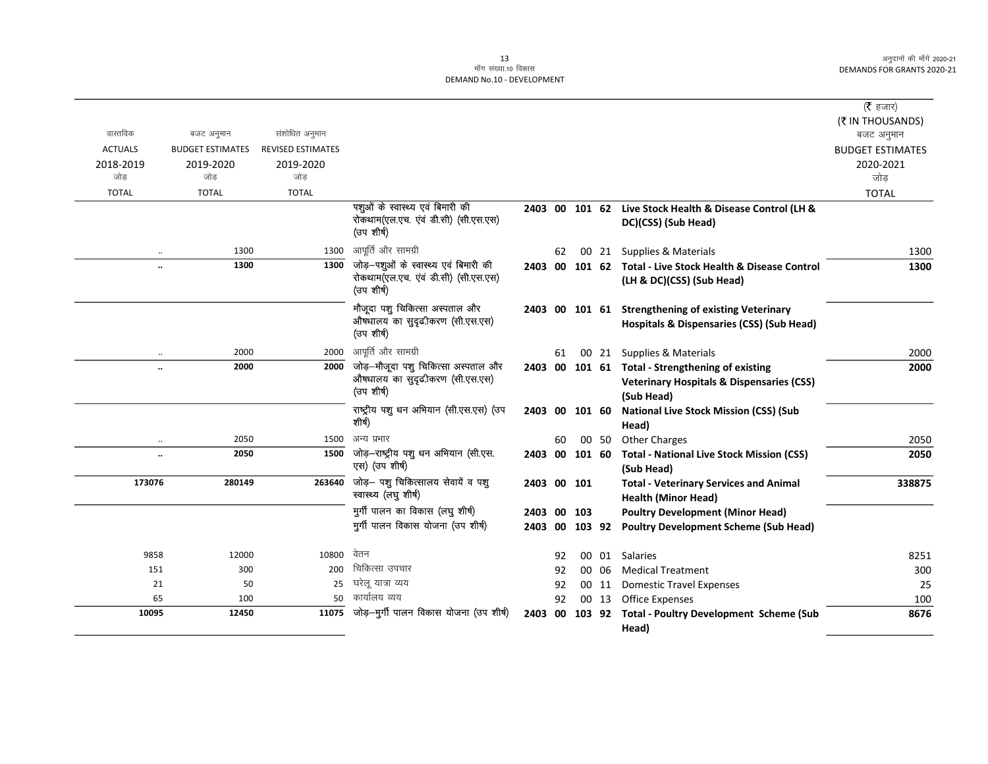|                |                         |                          |                                                    |                |    |        |       |                                                            | (रै हजार)               |
|----------------|-------------------------|--------------------------|----------------------------------------------------|----------------|----|--------|-------|------------------------------------------------------------|-------------------------|
|                |                         |                          |                                                    |                |    |        |       |                                                            | (₹ IN THOUSANDS)        |
| वास्तविक       | बजट अनुमान              | संशोधित अनुमान           |                                                    |                |    |        |       |                                                            | बजट अनुमान              |
| <b>ACTUALS</b> | <b>BUDGET ESTIMATES</b> | <b>REVISED ESTIMATES</b> |                                                    |                |    |        |       |                                                            | <b>BUDGET ESTIMATES</b> |
| 2018-2019      | 2019-2020               | 2019-2020                |                                                    |                |    |        |       |                                                            | 2020-2021               |
| जोड़           | जोड                     | जोड                      |                                                    |                |    |        |       |                                                            | जोड                     |
| <b>TOTAL</b>   | <b>TOTAL</b>            | <b>TOTAL</b>             |                                                    |                |    |        |       |                                                            | <b>TOTAL</b>            |
|                |                         |                          | पशुओं के स्वास्थ्य एवं बिमारी की                   | 2403 00 101 62 |    |        |       | Live Stock Health & Disease Control (LH &                  |                         |
|                |                         |                          | रोकथाम(एल.एच. एंवं डी.सी) (सी.एस.एस)<br>(उप शीर्ष) |                |    |        |       | DC)(CSS) (Sub Head)                                        |                         |
|                | 1300<br>$\ddotsc$       | 1300                     | आपूर्ति और सामग्री                                 |                | 62 |        |       | 00 21 Supplies & Materials                                 | 1300                    |
|                | 1300<br>                | 1300                     | जोड़—पशुओं के स्वास्थ्य एवं बिमारी की              |                |    |        |       | 2403 00 101 62 Total - Live Stock Health & Disease Control | 1300                    |
|                |                         |                          | रोकथाम(एल.एच. एवं डी.सी) (सी.एस.एस)<br>(उपशीर्ष)   |                |    |        |       | (LH & DC)(CSS) (Sub Head)                                  |                         |
|                |                         |                          | मौजूदा पशु चिकित्सा अस्पताल और                     |                |    |        |       | 2403 00 101 61 Strengthening of existing Veterinary        |                         |
|                |                         |                          | औषधालय का सुदृढ़ीकरण (सी.एस.एस)<br>(उपशीर्ष)       |                |    |        |       | <b>Hospitals &amp; Dispensaries (CSS) (Sub Head)</b>       |                         |
|                | 2000<br>$\ddotsc$       | 2000                     | आपूर्ति और सामग्री                                 |                | 61 |        |       | 00 21 Supplies & Materials                                 | 2000                    |
|                | 2000<br>                | 2000                     | जोड़–मौजूदा पशु चिकित्सा अस्पताल और                |                |    |        |       | 2403 00 101 61 Total - Strengthening of existing           | 2000                    |
|                |                         |                          | औषधालय का सुदृढ़ीकरण (सी.एस.एस)                    |                |    |        |       | <b>Veterinary Hospitals &amp; Dispensaries (CSS)</b>       |                         |
|                |                         |                          | (उप शीर्ष)                                         |                |    |        |       | (Sub Head)                                                 |                         |
|                |                         |                          | राष्ट्रीय पशु धन अभियान (सी.एस.एस) (उप             | 2403 00 101 60 |    |        |       | <b>National Live Stock Mission (CSS) (Sub</b>              |                         |
|                |                         |                          | शीर्ष)                                             |                |    |        |       | Head)                                                      |                         |
|                | 2050<br>$\cdot\cdot$    | 1500                     | अन्य प्रभार                                        |                | 60 |        | 00 50 | <b>Other Charges</b>                                       | 2050                    |
|                | 2050<br>                | 1500                     | जोड़-राष्ट्रीय पशु धन अभियान (सी.एस.               | 2403 00        |    | 101 60 |       | <b>Total - National Live Stock Mission (CSS)</b>           | 2050                    |
|                |                         |                          | एस) (उप शीर्ष)                                     |                |    |        |       | (Sub Head)                                                 |                         |
| 173076         | 280149                  | 263640                   | जोड़- पशु चिकित्सालय सेवायें व पशु                 | 2403 00 101    |    |        |       | <b>Total - Veterinary Services and Animal</b>              | 338875                  |
|                |                         |                          | स्वास्थ्य (लघु शीर्ष)                              |                |    |        |       | <b>Health (Minor Head)</b>                                 |                         |
|                |                         |                          | मुर्गी पालन का विकास (लघु शीर्ष)                   | 2403 00        |    | 103    |       | <b>Poultry Development (Minor Head)</b>                    |                         |
|                |                         |                          | मुर्गी पालन विकास योजना (उप शीर्ष)                 | 2403 00 103 92 |    |        |       | <b>Poultry Development Scheme (Sub Head)</b>               |                         |
| 9858           | 12000                   | 10800                    | वेतन                                               |                | 92 | 00     |       | 01 Salaries                                                | 8251                    |
| 151            | 300                     | 200                      | चिकित्सा उपचार                                     |                | 92 |        | 00 06 | <b>Medical Treatment</b>                                   | 300                     |
| 21             | 50                      | 25                       | घरेलू यात्रा व्यय                                  |                | 92 |        | 00 11 | <b>Domestic Travel Expenses</b>                            | 25                      |
| 65             | 100                     | 50                       | कार्यालय व्यय                                      |                | 92 |        | 00 13 | <b>Office Expenses</b>                                     | 100                     |
| 10095          | 12450                   | 11075                    | जोड़-मुर्गी पालन विकास योजना (उप शीर्ष)            | 2403 00        |    |        |       | 103 92 Total - Poultry Development Scheme (Sub             | 8676                    |
|                |                         |                          |                                                    |                |    |        |       | Head)                                                      |                         |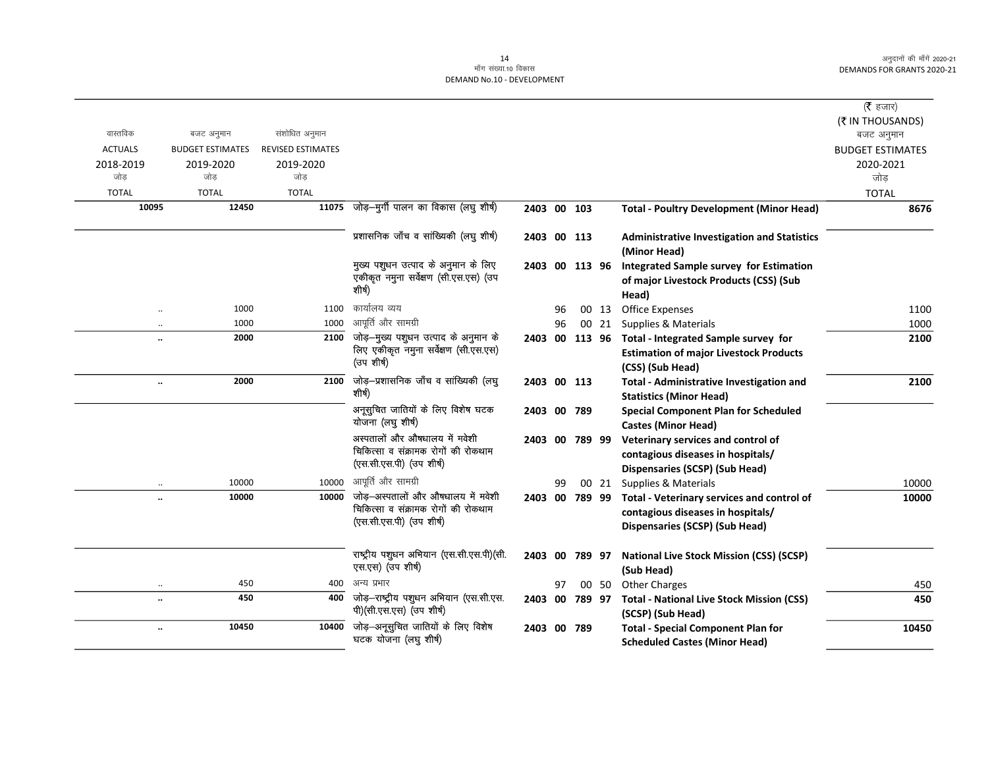|                      |                         |                          |                                                                    |                |    |       |                                                                                   | ( $\bar{\tau}$ हजार)    |
|----------------------|-------------------------|--------------------------|--------------------------------------------------------------------|----------------|----|-------|-----------------------------------------------------------------------------------|-------------------------|
| वास्तविक             | बजट अनुमान              | संशोधित अनुमान           |                                                                    |                |    |       |                                                                                   | (₹ IN THOUSANDS)        |
| <b>ACTUALS</b>       | <b>BUDGET ESTIMATES</b> | <b>REVISED ESTIMATES</b> |                                                                    |                |    |       |                                                                                   | बजट अनुमान              |
|                      |                         |                          |                                                                    |                |    |       |                                                                                   | <b>BUDGET ESTIMATES</b> |
| 2018-2019<br>जोड     | 2019-2020<br>जोड        | 2019-2020<br>जोड         |                                                                    |                |    |       |                                                                                   | 2020-2021<br>जोड        |
| <b>TOTAL</b>         | <b>TOTAL</b>            | <b>TOTAL</b>             |                                                                    |                |    |       |                                                                                   | <b>TOTAL</b>            |
| 10095                | 12450                   |                          | 11075 जोड़-मुर्गी पालन का विकास (लघु शीर्ष)                        | 2403 00 103    |    |       | <b>Total - Poultry Development (Minor Head)</b>                                   | 8676                    |
|                      |                         |                          |                                                                    |                |    |       |                                                                                   |                         |
|                      |                         |                          | प्रशासनिक जाँच व सांख्यिकी (लघु शीर्ष)                             | 2403 00 113    |    |       | <b>Administrative Investigation and Statistics</b><br>(Minor Head)                |                         |
|                      |                         |                          | मुख्य पशुधन उत्पाद के अनुमान के लिए                                | 2403 00 113 96 |    |       | <b>Integrated Sample survey for Estimation</b>                                    |                         |
|                      |                         |                          | एकीकृत नमुना सर्वेक्षण (सी.एस.एस) (उप<br>शीर्ष)                    |                |    |       | of major Livestock Products (CSS) (Sub<br>Head)                                   |                         |
| $\ddot{\phantom{a}}$ | 1000                    | 1100                     | कार्यालय व्यय                                                      |                | 96 |       | 00 13 Office Expenses                                                             | 1100                    |
| $\ddotsc$            | 1000                    | 1000                     | आपूर्ति और सामग्री                                                 |                | 96 | 00 21 | Supplies & Materials                                                              | 1000                    |
|                      | 2000                    | 2100                     | जोड़-मुख्य पशुधन उत्पाद के अनुमान के                               |                |    |       | 2403 00 113 96 Total - Integrated Sample survey for                               | 2100                    |
|                      |                         |                          | लिए एकीकृत नमुना सर्वेक्षण (सी.एस.एस)<br>(उप शीर्ष)                |                |    |       | <b>Estimation of major Livestock Products</b><br>(CSS) (Sub Head)                 |                         |
| $\ddotsc$            | 2000                    | 2100                     | जोड़—प्रशासनिक जाँच व सांख्यिकी (लघु<br>शीर्ष)                     | 2403 00 113    |    |       | <b>Total - Administrative Investigation and</b><br><b>Statistics (Minor Head)</b> | 2100                    |
|                      |                         |                          | अनूसुचित जातियों के लिए विशेष घटक<br>योजना (लघु शीर्ष)             | 2403 00 789    |    |       | <b>Special Component Plan for Scheduled</b><br><b>Castes (Minor Head)</b>         |                         |
|                      |                         |                          | अस्पतालों और औषधालय में मवेशी                                      | 2403 00 789 99 |    |       | Veterinary services and control of                                                |                         |
|                      |                         |                          | चिकित्सा व संक्रामक रोगों की रोकथाम                                |                |    |       | contagious diseases in hospitals/                                                 |                         |
|                      |                         |                          | (एस.सी.एस.पी) (उप शीर्ष)                                           |                |    |       | Dispensaries (SCSP) (Sub Head)                                                    |                         |
| $\ddotsc$            | 10000                   | 10000                    | आपूर्ति और सामग्री                                                 |                | 99 | 00 21 | Supplies & Materials                                                              | 10000                   |
|                      | 10000                   | 10000                    | जोड़-अस्पतालों और औषधालय में मवेशी                                 | 2403 00 789 99 |    |       | Total - Veterinary services and control of                                        | 10000                   |
|                      |                         |                          | चिकित्सा व संक्रामक रोगों की रोकथाम<br>(एस.सी.एस.पी) (उप शीर्ष)    |                |    |       | contagious diseases in hospitals/                                                 |                         |
|                      |                         |                          |                                                                    |                |    |       | Dispensaries (SCSP) (Sub Head)                                                    |                         |
|                      |                         |                          | राष्ट्रीय पशुधन अभियान (एस.सी.एस.पी) (सी.                          |                |    |       |                                                                                   |                         |
|                      |                         |                          | एस.एस) (उप शीर्ष)                                                  | 2403 00 789 97 |    |       | <b>National Live Stock Mission (CSS) (SCSP)</b><br>(Sub Head)                     |                         |
| $\ddot{\phantom{0}}$ | 450                     | 400                      | अन्य प्रभार                                                        |                | 97 | 00 50 | <b>Other Charges</b>                                                              | 450                     |
|                      | 450                     | 400                      | जोड़-राष्ट्रीय पशुधन अभियान (एस.सी.एस.<br>पी)(सी.एस.एस) (उप शीर्ष) | 2403 00 789 97 |    |       | <b>Total - National Live Stock Mission (CSS)</b><br>(SCSP) (Sub Head)             | 450                     |
|                      | 10450                   | 10400                    | जोड़-अनूसुचित जातियों के लिए विशेष                                 | 2403 00 789    |    |       | <b>Total - Special Component Plan for</b>                                         | 10450                   |
|                      |                         |                          | घटक योजना (लघु शीर्ष)                                              |                |    |       | <b>Scheduled Castes (Minor Head)</b>                                              |                         |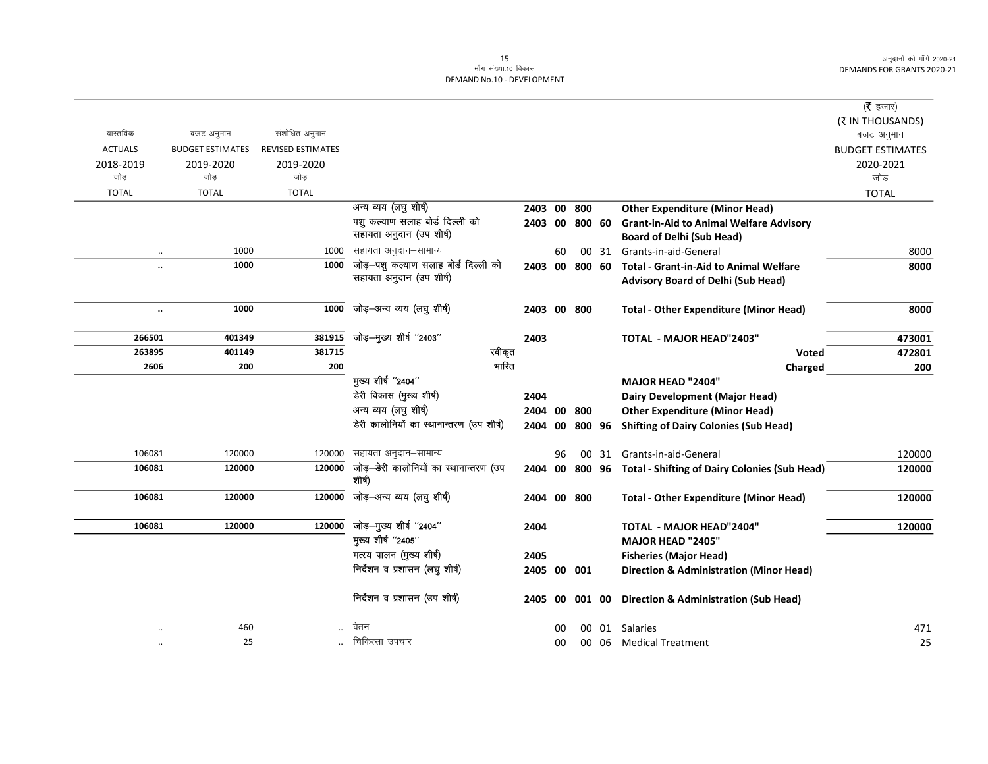|                |                         |                          |                                                  |                |    |        |       |                                                         | (रै हजार)               |
|----------------|-------------------------|--------------------------|--------------------------------------------------|----------------|----|--------|-------|---------------------------------------------------------|-------------------------|
|                |                         |                          |                                                  |                |    |        |       |                                                         | (₹ IN THOUSANDS)        |
| वास्तविक       | बजट अनुमान              | संशोधित अनुमान           |                                                  |                |    |        |       |                                                         | बजट अनुमान              |
| <b>ACTUALS</b> | <b>BUDGET ESTIMATES</b> | <b>REVISED ESTIMATES</b> |                                                  |                |    |        |       |                                                         | <b>BUDGET ESTIMATES</b> |
| 2018-2019      | 2019-2020               | 2019-2020                |                                                  |                |    |        |       |                                                         | 2020-2021               |
| जोड            | जोड                     | जोड                      |                                                  |                |    |        |       |                                                         | जोड                     |
| <b>TOTAL</b>   | <b>TOTAL</b>            | <b>TOTAL</b>             |                                                  |                |    |        |       |                                                         | <b>TOTAL</b>            |
|                |                         |                          | अन्य व्यय (लघु शीर्ष)                            | 2403 00        |    | 800    |       | <b>Other Expenditure (Minor Head)</b>                   |                         |
|                |                         |                          | पशु कल्याण सलाह बोर्ड दिल्ली को                  | 2403 00 800 60 |    |        |       | <b>Grant-in-Aid to Animal Welfare Advisory</b>          |                         |
|                |                         |                          | सहायता अनुदान (उप शीर्ष)                         |                |    |        |       | <b>Board of Delhi (Sub Head)</b>                        |                         |
| $\cdot\cdot$   | 1000                    | 1000                     | सहायता अनुदान–सामान्य                            |                | 60 |        | 00 31 | Grants-in-aid-General                                   | 8000                    |
| $\ddotsc$      | 1000                    | 1000                     | जोड़-पशु कल्याण सलाह बोर्ड दिल्ली को             | 2403 00 800 60 |    |        |       | <b>Total - Grant-in-Aid to Animal Welfare</b>           | 8000                    |
|                |                         |                          | सहायता अनुदान (उप शीर्ष)                         |                |    |        |       | <b>Advisory Board of Delhi (Sub Head)</b>               |                         |
| $\ddotsc$      | 1000                    | 1000                     | जोड़—अन्य व्यय (लघु शीर्ष)                       | 2403 00 800    |    |        |       | <b>Total - Other Expenditure (Minor Head)</b>           | 8000                    |
| 266501         | 401349                  | 381915                   | जोड़-मुख्य शीर्ष "2403"                          | 2403           |    |        |       | <b>TOTAL - MAJOR HEAD"2403"</b>                         | 473001                  |
| 263895         | 401149                  | 381715                   | स्वीकृत                                          |                |    |        |       | Voted                                                   | 472801                  |
| 2606           | 200                     | 200                      | भारित                                            |                |    |        |       | Charged                                                 | 200                     |
|                |                         |                          | मुख्य शीर्ष "2404"                               |                |    |        |       | <b>MAJOR HEAD "2404"</b>                                |                         |
|                |                         |                          | डेरी विकास (मुख्य शीर्ष)                         | 2404           |    |        |       | Dairy Development (Major Head)                          |                         |
|                |                         |                          | अन्य व्यय (लघु शीर्ष)                            | 2404 00        |    | 800    |       | <b>Other Expenditure (Minor Head)</b>                   |                         |
|                |                         |                          | डेरी कालोनियों का स्थानान्तरण (उप शीर्ष)         | 2404 00        |    | 800 96 |       | <b>Shifting of Dairy Colonies (Sub Head)</b>            |                         |
| 106081         | 120000                  | 120000                   | सहायता अनुदान–सामान्य                            |                | 96 |        |       | 00 31 Grants-in-aid-General                             | 120000                  |
| 106081         | 120000                  | 120000                   | जोड़—डेरी कालोनियों का स्थानान्तरण (उप<br>शीर्ष) | 2404           |    |        |       | 00 800 96 Total - Shifting of Dairy Colonies (Sub Head) | 120000                  |
| 106081         | 120000                  | 120000                   | जोड़—अन्य व्यय (लघु शीर्ष)                       | 2404 00 800    |    |        |       | <b>Total - Other Expenditure (Minor Head)</b>           | 120000                  |
| 106081         | 120000                  | 120000                   | जोड़—मुख्य शीर्ष ''2404''                        | 2404           |    |        |       | <b>TOTAL - MAJOR HEAD"2404"</b>                         | 120000                  |
|                |                         |                          | मुख्य शीर्ष "2405"                               |                |    |        |       | <b>MAJOR HEAD "2405"</b>                                |                         |
|                |                         |                          | मत्स्य पालन (मुख्य शीर्ष)                        | 2405           |    |        |       | <b>Fisheries (Major Head)</b>                           |                         |
|                |                         |                          | निर्देशन व प्रशासन (लघु शीर्ष)                   | 2405 00 001    |    |        |       | <b>Direction &amp; Administration (Minor Head)</b>      |                         |
|                |                         |                          | निर्देशन व प्रशासन (उप शीर्ष)                    | 2405 00        |    | 001 00 |       | <b>Direction &amp; Administration (Sub Head)</b>        |                         |
| $\ddotsc$      | 460                     |                          | वेतन                                             |                | 00 |        |       | 00 01 Salaries                                          | 471                     |
|                | 25                      |                          | चिकित्सा उपचार                                   |                | 00 |        |       | 00 06 Medical Treatment                                 | 25                      |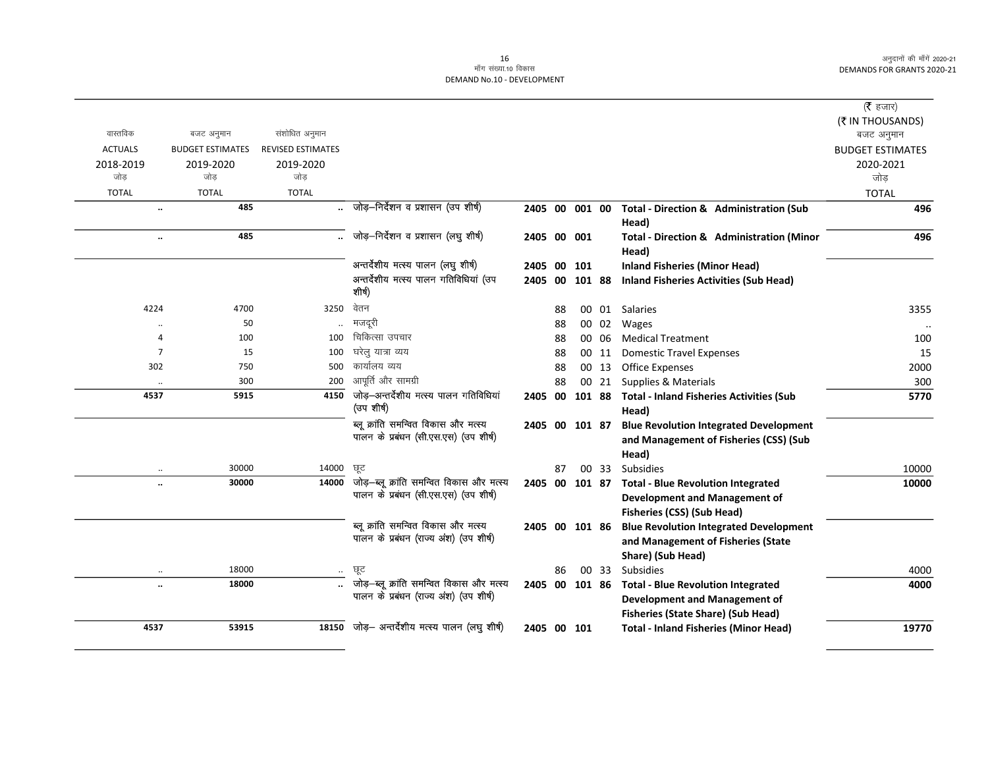|                      |                         |                          |                                                                                    |                |    |        |       |                                                                                                                 | ( $\bar{\tau}$ हजार)    |
|----------------------|-------------------------|--------------------------|------------------------------------------------------------------------------------|----------------|----|--------|-------|-----------------------------------------------------------------------------------------------------------------|-------------------------|
|                      |                         |                          |                                                                                    |                |    |        |       |                                                                                                                 | (₹ IN THOUSANDS)        |
| वास्तविक             | बजट अनुमान              | संशोधित अनुमान           |                                                                                    |                |    |        |       |                                                                                                                 | बजट अनुमान              |
| <b>ACTUALS</b>       | <b>BUDGET ESTIMATES</b> | <b>REVISED ESTIMATES</b> |                                                                                    |                |    |        |       |                                                                                                                 | <b>BUDGET ESTIMATES</b> |
| 2018-2019            | 2019-2020               | 2019-2020                |                                                                                    |                |    |        |       |                                                                                                                 | 2020-2021               |
| जोड                  | जोड                     | जोड                      |                                                                                    |                |    |        |       |                                                                                                                 | जोड                     |
| <b>TOTAL</b>         | <b>TOTAL</b>            | <b>TOTAL</b>             |                                                                                    |                |    |        |       |                                                                                                                 | <b>TOTAL</b>            |
| $\ddotsc$            | 485                     |                          | जोड़-निर्देशन व प्रशासन (उप शीर्ष)                                                 | 2405 00 001 00 |    |        |       | Total - Direction & Administration (Sub                                                                         | 496                     |
|                      |                         |                          |                                                                                    |                |    |        |       | Head)                                                                                                           |                         |
| $\ddot{\phantom{a}}$ | 485                     |                          | जोड़-निर्देशन व प्रशासन (लघु शीर्ष)                                                | 2405 00 001    |    |        |       | Total - Direction & Administration (Minor                                                                       | 496                     |
|                      |                         |                          |                                                                                    |                |    |        |       | Head)                                                                                                           |                         |
|                      |                         |                          | अन्तर्देशीय मत्स्य पालन (लघु शीर्ष)                                                | 2405           | 00 | 101    |       | <b>Inland Fisheries (Minor Head)</b>                                                                            |                         |
|                      |                         |                          | अन्तर्देशीय मत्स्य पालन गतिविधियां (उप<br>शीर्ष)                                   | 2405           | 00 | 101 88 |       | <b>Inland Fisheries Activities (Sub Head)</b>                                                                   |                         |
| 4224                 | 4700                    | 3250                     | वेतन                                                                               |                | 88 |        |       | 00 01 Salaries                                                                                                  | 3355                    |
|                      | 50                      |                          | मजदूरी                                                                             |                | 88 |        | 00 02 | Wages                                                                                                           |                         |
| 4                    | 100                     | 100                      | चिकित्सा उपचार                                                                     |                | 88 |        | 00 06 | <b>Medical Treatment</b>                                                                                        | 100                     |
| $\overline{7}$       | 15                      | 100                      | घरेलु यात्रा व्यय                                                                  |                | 88 |        | 00 11 | <b>Domestic Travel Expenses</b>                                                                                 | 15                      |
| 302                  | 750                     | 500                      | कार्यालय व्यय                                                                      |                | 88 |        | 00 13 | <b>Office Expenses</b>                                                                                          | 2000                    |
| $\ddotsc$            | 300                     | 200                      | आपूर्ति और सामग्री                                                                 |                | 88 |        | 00 21 | <b>Supplies &amp; Materials</b>                                                                                 | 300                     |
| 4537                 | 5915                    | 4150                     | जोड़-अन्तर्देशीय मत्स्य पालन गतिविधियां<br>(उप शीर्ष)                              | 2405           | 00 | 101 88 |       | <b>Total - Inland Fisheries Activities (Sub</b><br>Head)                                                        | 5770                    |
|                      |                         |                          | ब्लू क्रांति समन्वित विकास और मत्स्य<br>पालन के प्रबंधन (सी.एस.एस) (उप शीर्ष)      | 2405 00 101 87 |    |        |       | <b>Blue Revolution Integrated Development</b><br>and Management of Fisheries (CSS) (Sub<br>Head)                |                         |
|                      | 30000                   | 14000                    | ਯੂਟ                                                                                |                | 87 |        | 00 33 | <b>Subsidies</b>                                                                                                | 10000                   |
| $\ddot{\phantom{a}}$ | 30000                   | 14000                    | जोड़—ब्लू क्रांति समन्वित विकास और मत्स्य<br>पालन के प्रबंधन (सी.एस.एस) (उप शीर्ष) | 2405 00        |    | 101 87 |       | <b>Total - Blue Revolution Integrated</b><br><b>Development and Management of</b><br>Fisheries (CSS) (Sub Head) | 10000                   |
|                      |                         |                          | ब्लू क्रांति समन्वित विकास और मत्स्य<br>पालन के प्रबंधन (राज्य अंश) (उप शीर्ष)     | 2405 00 101 86 |    |        |       | <b>Blue Revolution Integrated Development</b><br>and Management of Fisheries (State<br>Share) (Sub Head)        |                         |
|                      | 18000                   | $\ddotsc$                | ਾਲ੍                                                                                |                | 86 |        | 00 33 | <b>Subsidies</b>                                                                                                | 4000                    |
|                      | 18000                   |                          | जोड़-ब्लू क्रांति समन्वित विकास और मत्स्य                                          | 2405 00 101 86 |    |        |       | <b>Total - Blue Revolution Integrated</b>                                                                       | 4000                    |
|                      |                         |                          | पालन के प्रबंधन (राज्य अंश) (उप शीर्ष)                                             |                |    |        |       | <b>Development and Management of</b>                                                                            |                         |
|                      |                         |                          |                                                                                    |                |    |        |       | <b>Fisheries (State Share) (Sub Head)</b>                                                                       |                         |
| 4537                 | 53915                   |                          | 18150 जोड़- अन्तर्देशीय मत्स्य पालन (लघु शीर्ष)                                    | 2405 00 101    |    |        |       | <b>Total - Inland Fisheries (Minor Head)</b>                                                                    | 19770                   |
|                      |                         |                          |                                                                                    |                |    |        |       |                                                                                                                 |                         |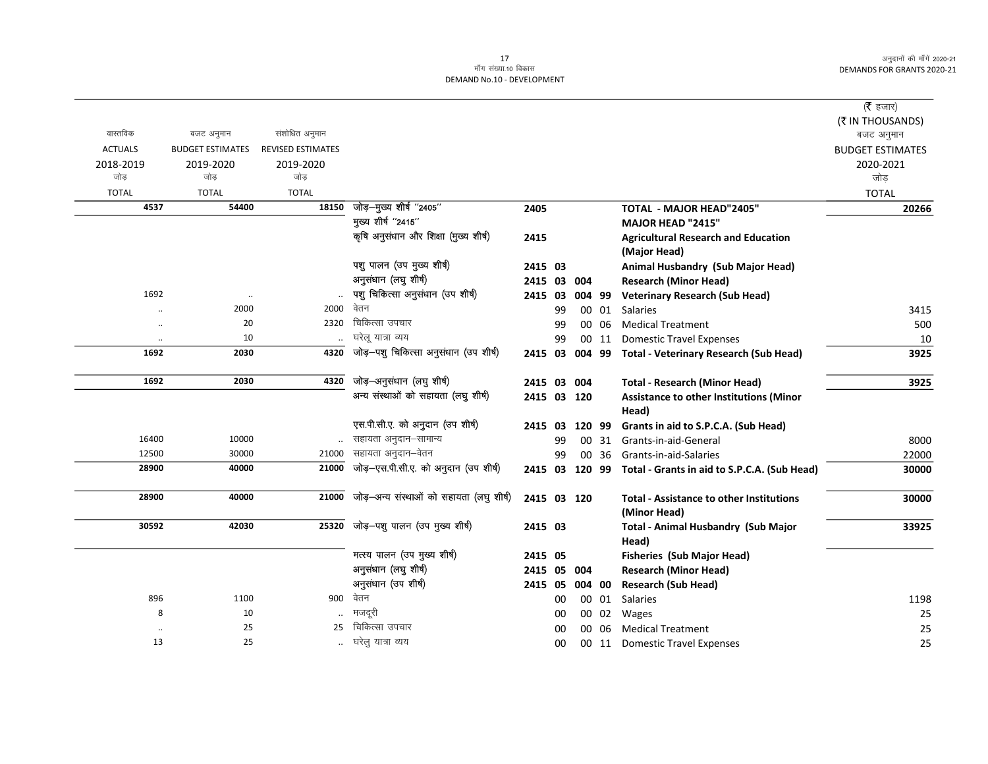|                      |                         |                          |                                          |             |    |        |       |                                                 | ( <b>रै</b> हजार)       |
|----------------------|-------------------------|--------------------------|------------------------------------------|-------------|----|--------|-------|-------------------------------------------------|-------------------------|
|                      |                         |                          |                                          |             |    |        |       |                                                 | (₹ IN THOUSANDS)        |
| वास्तविक             | बजट अनुमान              | संशोधित अनुमान           |                                          |             |    |        |       |                                                 | बजट अनुमान              |
| <b>ACTUALS</b>       | <b>BUDGET ESTIMATES</b> | <b>REVISED ESTIMATES</b> |                                          |             |    |        |       |                                                 | <b>BUDGET ESTIMATES</b> |
| 2018-2019            | 2019-2020               | 2019-2020                |                                          |             |    |        |       |                                                 | 2020-2021               |
| जोड़                 | जोड                     | जोड                      |                                          |             |    |        |       |                                                 | जोड                     |
| <b>TOTAL</b>         | <b>TOTAL</b>            | <b>TOTAL</b>             |                                          |             |    |        |       |                                                 | <b>TOTAL</b>            |
| 4537                 | 54400                   | 18150                    | जोड़-मुख्य शीर्ष "2405"                  | 2405        |    |        |       | TOTAL - MAJOR HEAD"2405"                        | 20266                   |
|                      |                         |                          | मुख्य शीर्ष "2415"                       |             |    |        |       | <b>MAJOR HEAD "2415"</b>                        |                         |
|                      |                         |                          | कृषि अनुसंधान और शिक्षा (मुख्य शीर्ष)    | 2415        |    |        |       | <b>Agricultural Research and Education</b>      |                         |
|                      |                         |                          |                                          |             |    |        |       | (Major Head)                                    |                         |
|                      |                         |                          | पशु पालन (उप मुख्य शीर्ष)                | 2415 03     |    |        |       | Animal Husbandry (Sub Major Head)               |                         |
|                      |                         |                          | अनुसंधान (लघु शीर्ष)                     | 2415 03 004 |    |        |       | <b>Research (Minor Head)</b>                    |                         |
| 1692                 | $\ddotsc$               |                          | पशु चिकित्सा अनुसंधान (उप शीर्ष)         | 2415 03     |    | 004 99 |       | <b>Veterinary Research (Sub Head)</b>           |                         |
|                      | 2000                    | 2000                     | वेतन                                     |             | 99 |        | 00 01 | Salaries                                        | 3415                    |
| $\ddot{\phantom{a}}$ | 20                      |                          | 2320 चिकित्सा उपचार                      |             | 99 |        | 00 06 | <b>Medical Treatment</b>                        | 500                     |
| $\ddotsc$            | 10                      |                          | घरेलू यात्रा व्यय                        |             | 99 |        | 00 11 | <b>Domestic Travel Expenses</b>                 | 10                      |
| 1692                 | 2030                    | 4320                     | जोड़-पशु चिकित्सा अनुसंधान (उप शीर्ष)    | 2415 03     |    |        |       | 004 99 Total - Veterinary Research (Sub Head)   | 3925                    |
|                      |                         |                          |                                          |             |    |        |       |                                                 |                         |
| 1692                 | 2030                    | 4320                     | जोड़-अनुसंधान (लघु शीर्ष)                | 2415 03 004 |    |        |       | <b>Total - Research (Minor Head)</b>            | 3925                    |
|                      |                         |                          | अन्य संस्थाओं को सहायता (लघु शीर्ष)      | 2415 03 120 |    |        |       | Assistance to other Institutions (Minor         |                         |
|                      |                         |                          |                                          |             |    |        |       | Head)                                           |                         |
|                      |                         |                          | एस.पी.सी.ए. को अनुदान (उप शीर्ष)         | 2415 03     |    | 120 99 |       | Grants in aid to S.P.C.A. (Sub Head)            |                         |
| 16400                | 10000                   |                          | सहायता अनुदान–सामान्य                    |             | 99 |        | 00 31 | Grants-in-aid-General                           | 8000                    |
| 12500                | 30000                   |                          | 21000 सहायता अनुदान-वेतन                 |             | 99 |        | 00 36 | Grants-in-aid-Salaries                          | 22000                   |
| 28900                | 40000                   | 21000                    | जोड़-एस.पी.सी.ए. को अनुदान (उप शीर्ष)    | 2415 03     |    | 120 99 |       | Total - Grants in aid to S.P.C.A. (Sub Head)    | 30000                   |
|                      |                         |                          |                                          |             |    |        |       |                                                 |                         |
| 28900                | 40000                   | 21000                    | जोड़-अन्य संस्थाओं को सहायता (लघु शीर्ष) | 2415 03 120 |    |        |       | <b>Total - Assistance to other Institutions</b> | 30000                   |
|                      |                         |                          |                                          |             |    |        |       | (Minor Head)                                    |                         |
| 30592                | 42030                   | 25320                    | जोड़-पशु पालन (उप मुख्य शीर्ष)           | 2415 03     |    |        |       | <b>Total - Animal Husbandry (Sub Major</b>      | 33925                   |
|                      |                         |                          |                                          |             |    |        |       | Head)                                           |                         |
|                      |                         |                          | मत्स्य पालन (उप मुख्य शीर्ष)             | 2415 05     |    |        |       | <b>Fisheries (Sub Major Head)</b>               |                         |
|                      |                         |                          | अनुसंधान (लघु शीर्ष)                     | 2415 05     |    | 004    |       | <b>Research (Minor Head)</b>                    |                         |
|                      |                         |                          | अनुसंधान (उप शीर्ष)                      | 2415 05     |    | 004 00 |       | <b>Research (Sub Head)</b>                      |                         |
| 896                  | 1100                    | 900                      | वेतन                                     |             | 00 |        | 00 01 | Salaries                                        | 1198                    |
| 8                    | 10                      |                          | मजदरी                                    |             | 00 |        | 00 02 | Wages                                           | 25                      |
|                      | 25                      | 25                       | चिकित्सा उपचार                           |             | 00 |        | 00 06 | <b>Medical Treatment</b>                        | 25                      |
| 13                   | 25                      |                          | घरेलु यात्रा व्यय                        |             | 00 |        | 00 11 | <b>Domestic Travel Expenses</b>                 | 25                      |
|                      |                         |                          |                                          |             |    |        |       |                                                 |                         |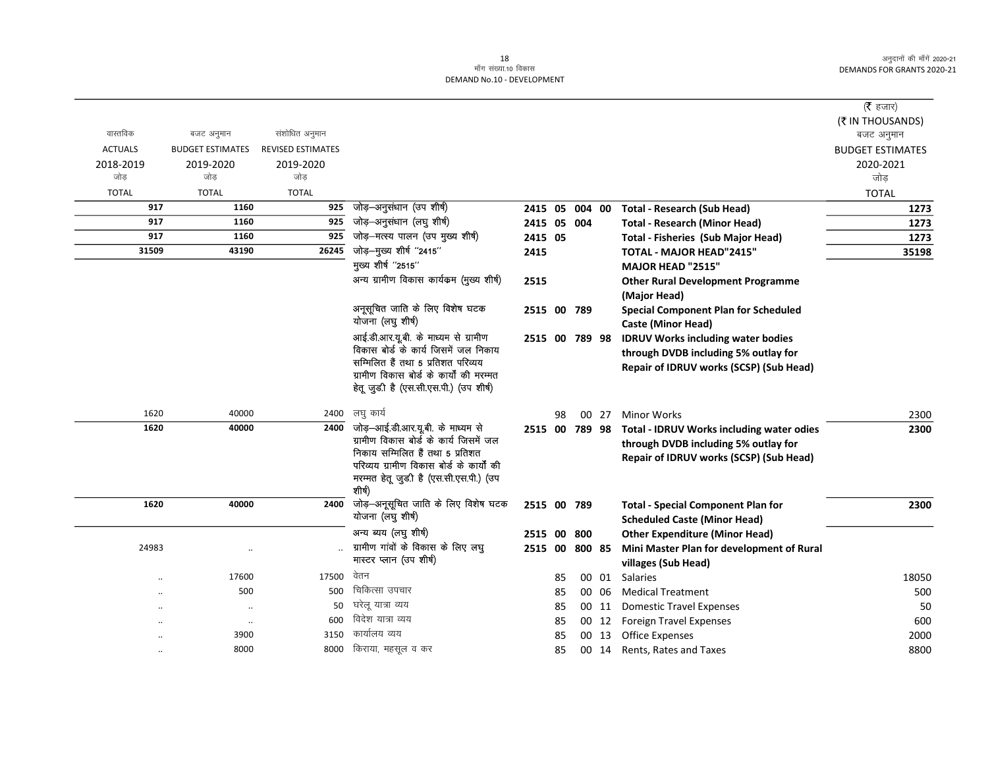|                |                         |                          |                                                                                                                                                                                                                  |                |    |       |                                                                                                                              | ( $\bar{\tau}$ हजार)    |
|----------------|-------------------------|--------------------------|------------------------------------------------------------------------------------------------------------------------------------------------------------------------------------------------------------------|----------------|----|-------|------------------------------------------------------------------------------------------------------------------------------|-------------------------|
|                |                         |                          |                                                                                                                                                                                                                  |                |    |       |                                                                                                                              | (₹ IN THOUSANDS)        |
| वास्तविक       | बजट अनुमान              | संशोधित अनुमान           |                                                                                                                                                                                                                  |                |    |       |                                                                                                                              | बजट अनुमान              |
| <b>ACTUALS</b> | <b>BUDGET ESTIMATES</b> | <b>REVISED ESTIMATES</b> |                                                                                                                                                                                                                  |                |    |       |                                                                                                                              | <b>BUDGET ESTIMATES</b> |
| 2018-2019      | 2019-2020               | 2019-2020                |                                                                                                                                                                                                                  |                |    |       |                                                                                                                              | 2020-2021               |
| जोड            | जोड                     | जोड                      |                                                                                                                                                                                                                  |                |    |       |                                                                                                                              | जोड़                    |
| <b>TOTAL</b>   | <b>TOTAL</b>            | <b>TOTAL</b>             |                                                                                                                                                                                                                  |                |    |       |                                                                                                                              | <b>TOTAL</b>            |
| 917            | 1160                    | 925                      | जोड़-अनुसंधान (उप शीर्ष)                                                                                                                                                                                         | 2415 05 004 00 |    |       | <b>Total - Research (Sub Head)</b>                                                                                           | 1273                    |
| 917            | 1160                    | 925                      | जोड़-अनुसंधान (लघु शीर्ष)                                                                                                                                                                                        | 2415 05 004    |    |       | <b>Total - Research (Minor Head)</b>                                                                                         | 1273                    |
| 917            | 1160                    | 925                      | जोड़-मत्स्य पालन (उप मुख्य शीर्ष)                                                                                                                                                                                | 2415 05        |    |       | <b>Total - Fisheries (Sub Major Head)</b>                                                                                    | 1273                    |
| 31509          | 43190                   | 26245                    | जोड़-मुख्य शीर्ष "2415"                                                                                                                                                                                          | 2415           |    |       | <b>TOTAL - MAJOR HEAD"2415"</b>                                                                                              | 35198                   |
|                |                         |                          | मुख्य शीर्ष "2515"                                                                                                                                                                                               |                |    |       | <b>MAJOR HEAD "2515"</b>                                                                                                     |                         |
|                |                         |                          | अन्य ग्रामीण विकास कार्यक्रम (मुख्य शीर्ष)                                                                                                                                                                       | 2515           |    |       | <b>Other Rural Development Programme</b><br>(Major Head)                                                                     |                         |
|                |                         |                          | अनूसूचित जाति के लिए विशेष घटक<br>योजना (लघु शीर्ष)                                                                                                                                                              | 2515 00 789    |    |       | <b>Special Component Plan for Scheduled</b><br><b>Caste (Minor Head)</b>                                                     |                         |
|                |                         |                          | आई.डी.आर.यू.बी. के माध्यम से ग्रामीण<br>विकास बोर्ड के कार्य जिसमें जल निकाय<br>सम्मिलित हैं तथा 5 प्रतिशत परिव्यय<br>ग्रामीण विकास बोर्ड के कार्यों की मरम्मत<br>हेतू जुडी है (एस.सी.एस.पी.) (उप शीर्ष)         | 2515 00 789 98 |    |       | <b>IDRUV Works including water bodies</b><br>through DVDB including 5% outlay for<br>Repair of IDRUV works (SCSP) (Sub Head) |                         |
| 1620           | 40000                   | 2400                     | लघु कार्य                                                                                                                                                                                                        |                | 98 | 00 27 | <b>Minor Works</b>                                                                                                           | 2300                    |
| 1620           | 40000                   | 2400                     | जोड़—आई.डी.आर.यू.बी. के माध्यम से<br>ग्रामीण विकास बोर्ड के कार्य जिसमें जल<br>निकाय सम्मिलित हैं तथा 5 प्रतिशत<br>परिव्यय ग्रामीण विकास बोर्ड के कार्यों की<br>मरम्मत हेतू जुडी है (एस.सी.एस.पी.) (उप<br>शीर्ष) | 2515 00 789 98 |    |       | Total - IDRUV Works including water odies<br>through DVDB including 5% outlay for<br>Repair of IDRUV works (SCSP) (Sub Head) | 2300                    |
| 1620           | 40000                   | 2400                     | जोड़-अनूसूचित जाति के लिए विशेष घटक<br>योजना (लघु शीर्ष)                                                                                                                                                         | 2515 00 789    |    |       | <b>Total - Special Component Plan for</b><br><b>Scheduled Caste (Minor Head)</b>                                             | 2300                    |
|                |                         |                          | अन्य ब्यय (लघु शीर्ष)                                                                                                                                                                                            | 2515 00 800    |    |       | <b>Other Expenditure (Minor Head)</b>                                                                                        |                         |
| 24983          |                         |                          | ग्रामीण गांवों के विकास के लिए लघु<br>मास्टर प्लान (उप शीर्ष)                                                                                                                                                    | 2515 00 800 85 |    |       | Mini Master Plan for development of Rural<br>villages (Sub Head)                                                             |                         |
| $\cdot$        | 17600                   | 17500                    | वेतन                                                                                                                                                                                                             |                | 85 | 00 01 | Salaries                                                                                                                     | 18050                   |
|                | 500                     | 500                      | चिकित्सा उपचार                                                                                                                                                                                                   |                | 85 | 00 06 | <b>Medical Treatment</b>                                                                                                     | 500                     |
|                | $\cdot$ .               | 50                       | घरेलू यात्रा व्यय                                                                                                                                                                                                |                | 85 |       | 00 11 Domestic Travel Expenses                                                                                               | 50                      |
|                | $\cdot\cdot$            | 600                      | विदेश यात्रा व्यय                                                                                                                                                                                                |                | 85 |       | 00 12 Foreign Travel Expenses                                                                                                | 600                     |
|                | 3900                    | 3150                     | कार्यालय व्यय                                                                                                                                                                                                    |                | 85 | 00 13 | <b>Office Expenses</b>                                                                                                       | 2000                    |
|                | 8000                    | 8000                     | किराया, महसूल व कर                                                                                                                                                                                               |                | 85 |       | 00 14 Rents, Rates and Taxes                                                                                                 | 8800                    |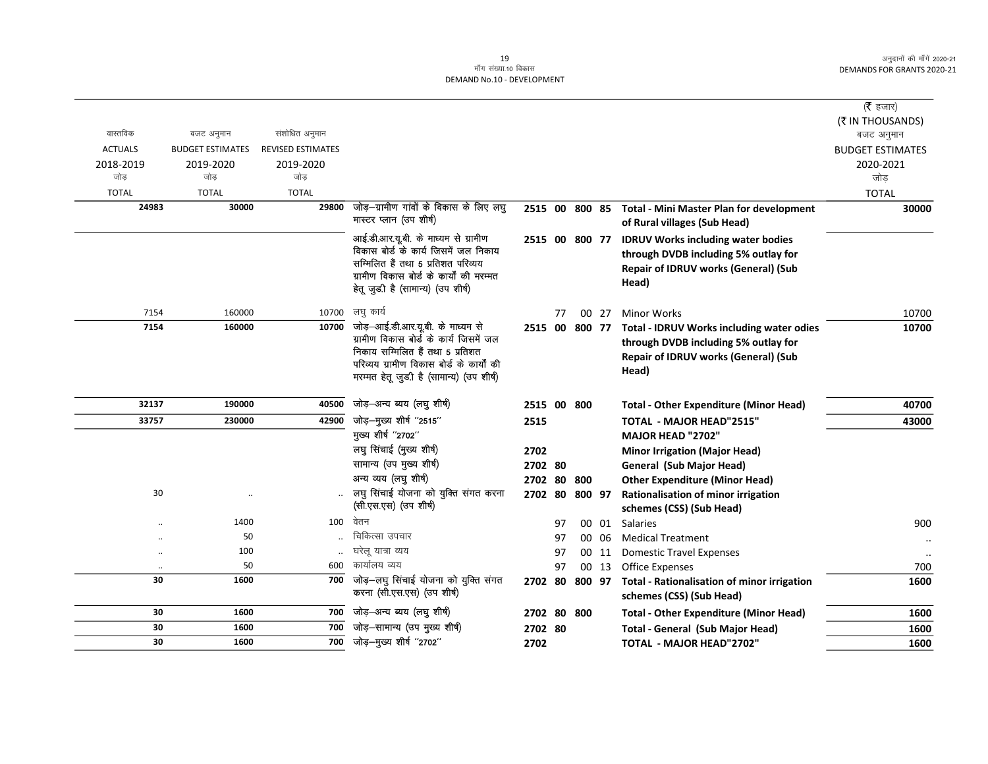|                |                         |                          |                                                                                |                |    |       |                                                         | ( $\bar{\tau}$ हजार)    |
|----------------|-------------------------|--------------------------|--------------------------------------------------------------------------------|----------------|----|-------|---------------------------------------------------------|-------------------------|
|                |                         |                          |                                                                                |                |    |       |                                                         | (₹ IN THOUSANDS)        |
| वास्तविक       | बजट अनुमान              | संशोधित अनुमान           |                                                                                |                |    |       |                                                         | बजट अनुमान              |
| <b>ACTUALS</b> | <b>BUDGET ESTIMATES</b> | <b>REVISED ESTIMATES</b> |                                                                                |                |    |       |                                                         | <b>BUDGET ESTIMATES</b> |
| 2018-2019      | 2019-2020               | 2019-2020                |                                                                                |                |    |       |                                                         | 2020-2021               |
| जोड            | जोड                     | जोड                      |                                                                                |                |    |       |                                                         | जोड़                    |
| <b>TOTAL</b>   | <b>TOTAL</b>            | <b>TOTAL</b>             |                                                                                |                |    |       |                                                         | <b>TOTAL</b>            |
| 24983          | 30000                   | 29800                    | जोड़—ग्रामीण गांवों के विकास के लिए लघु                                        |                |    |       | 2515 00 800 85 Total - Mini Master Plan for development | 30000                   |
|                |                         |                          | मास्टर प्लान (उप शीर्ष)                                                        |                |    |       | of Rural villages (Sub Head)                            |                         |
|                |                         |                          | आई.डी.आर.यू.बी. के माध्यम से ग्रामीण                                           | 2515 00 800 77 |    |       | <b>IDRUV Works including water bodies</b>               |                         |
|                |                         |                          | विकास बोर्ड के कार्य जिसमें जल निकाय                                           |                |    |       | through DVDB including 5% outlay for                    |                         |
|                |                         |                          | सम्मिलित हैं तथा 5 प्रतिशत परिव्यय<br>ग्रामीण विकास बोर्ड के कार्यों की मरम्मत |                |    |       | Repair of IDRUV works (General) (Sub                    |                         |
|                |                         |                          | हेतू जुड़ी है (सामान्य) (उप शीर्ष)                                             |                |    |       | Head)                                                   |                         |
|                |                         |                          |                                                                                |                |    |       |                                                         |                         |
| 7154           | 160000                  | 10700                    | लघु कार्य                                                                      |                | 77 | 00 27 | <b>Minor Works</b>                                      | 10700                   |
| 7154           | 160000                  | 10700                    | जोड़—आई.डी.आर.यू.बी. के माध्यम से                                              | 2515 00 800 77 |    |       | <b>Total - IDRUV Works including water odies</b>        | 10700                   |
|                |                         |                          | ग्रामीण विकास बोर्ड के कार्य जिसमें जल                                         |                |    |       | through DVDB including 5% outlay for                    |                         |
|                |                         |                          | निकाय सम्मिलित हैं तथा 5 प्रतिशत<br>परिव्यय ग्रामीण विकास बोर्ड के कार्यों की  |                |    |       | Repair of IDRUV works (General) (Sub                    |                         |
|                |                         |                          | मरम्मत हेतू जुडी है (सामान्य) (उप शीर्ष)                                       |                |    |       | Head)                                                   |                         |
|                |                         |                          |                                                                                |                |    |       |                                                         |                         |
| 32137          | 190000                  | 40500                    | जोड़-अन्य ब्यय (लघु शीर्ष)                                                     | 2515 00 800    |    |       | <b>Total - Other Expenditure (Minor Head)</b>           | 40700                   |
| 33757          | 230000                  | 42900                    | जोड़-मुख्य शीर्ष "2515"                                                        | 2515           |    |       | <b>TOTAL - MAJOR HEAD"2515"</b>                         | 43000                   |
|                |                         |                          | मुख्य शीर्ष "2702"                                                             |                |    |       | <b>MAJOR HEAD "2702"</b>                                |                         |
|                |                         |                          | लघु सिंचाई (मुख्य शीर्ष)                                                       | 2702           |    |       | <b>Minor Irrigation (Major Head)</b>                    |                         |
|                |                         |                          | सामान्य (उप मुख्य शीर्ष)                                                       | 2702 80        |    |       | <b>General (Sub Major Head)</b>                         |                         |
|                |                         |                          | अन्य व्यय (लघु शीर्ष)                                                          | 2702 80 800    |    |       | <b>Other Expenditure (Minor Head)</b>                   |                         |
| 30             |                         |                          | लघु सिंचाई योजना को युक्ति संगत करना                                           | 2702 80 800 97 |    |       | Rationalisation of minor irrigation                     |                         |
|                |                         |                          | (सी.एस.एस) (उप शीर्ष)                                                          |                |    |       | schemes (CSS) (Sub Head)                                |                         |
|                | 1400                    | 100                      | वेतन                                                                           |                | 97 | 00 01 | Salaries                                                | 900                     |
|                | 50                      |                          | चिकित्सा उपचार                                                                 |                | 97 | 00 06 | <b>Medical Treatment</b>                                | $\ldots$                |
|                | 100                     |                          | घरेलू यात्रा व्यय                                                              |                | 97 | 00 11 | <b>Domestic Travel Expenses</b>                         | $\ddotsc$               |
|                | 50                      | 600                      | कार्यालय व्यय                                                                  |                | 97 | 00 13 | Office Expenses                                         | 700                     |
| 30             | 1600                    | 700                      | जोड़-लघु सिंचाई योजना को युक्ति संगत                                           | 2702 80 800 97 |    |       | Total - Rationalisation of minor irrigation             | 1600                    |
|                |                         |                          | करना (सी.एस.एस) (उप शीर्ष)                                                     |                |    |       | schemes (CSS) (Sub Head)                                |                         |
| 30             | 1600                    | 700                      | जोड़–अन्य ब्यय (लघु शीर्ष)                                                     | 2702 80 800    |    |       | <b>Total - Other Expenditure (Minor Head)</b>           | 1600                    |
| 30             | 1600                    | 700                      | जोड़-सामान्य (उप मुख्य शीर्ष)                                                  | 2702 80        |    |       | Total - General (Sub Major Head)                        | 1600                    |
| 30             | 1600                    |                          | $\overline{700}$ जोड़-मुख्य शीर्ष "2702"                                       | 2702           |    |       | TOTAL - MAJOR HEAD"2702"                                | 1600                    |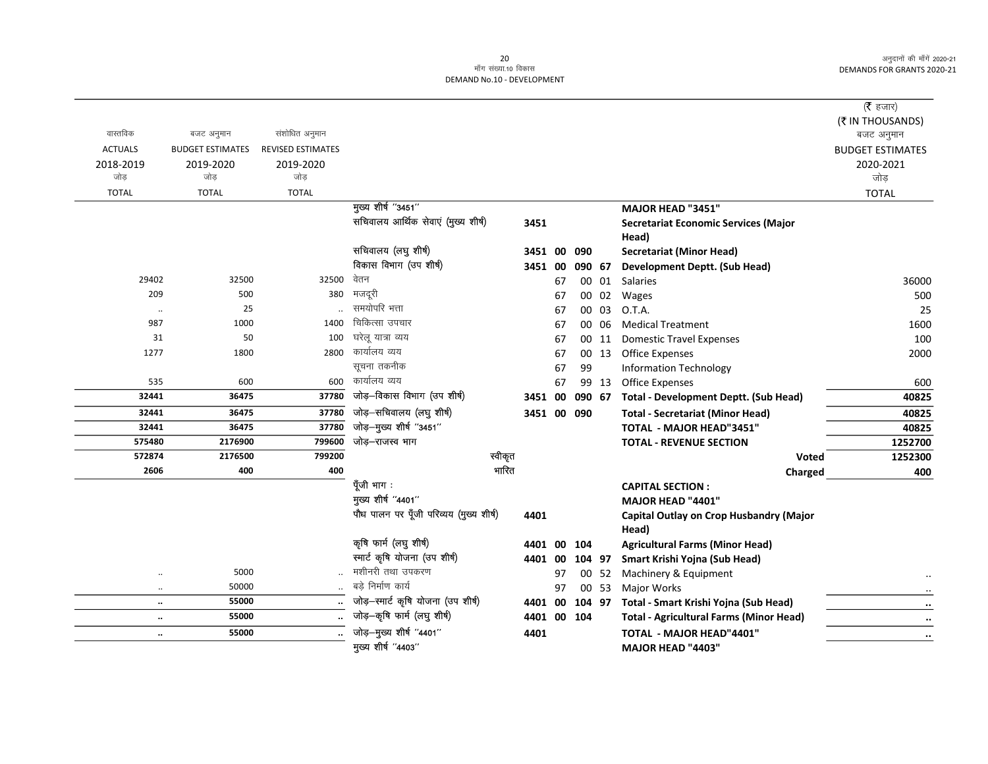| ( $\bar{\tau}$ हजार)    |                                                  |       |             |         |         |                                         |                          |                         |                |
|-------------------------|--------------------------------------------------|-------|-------------|---------|---------|-----------------------------------------|--------------------------|-------------------------|----------------|
| (₹ IN THOUSANDS)        |                                                  |       |             |         |         |                                         |                          |                         |                |
| बजट अनुमान              |                                                  |       |             |         |         |                                         | संशोधित अनुमान           | बजट अनुमान              | वास्तविक       |
| <b>BUDGET ESTIMATES</b> |                                                  |       |             |         |         |                                         | <b>REVISED ESTIMATES</b> | <b>BUDGET ESTIMATES</b> | <b>ACTUALS</b> |
| 2020-2021               |                                                  |       |             |         |         |                                         | 2019-2020                | 2019-2020               | 2018-2019      |
| जोड                     |                                                  |       |             |         |         |                                         | जोड                      | जोड                     | जोड            |
| <b>TOTAL</b>            |                                                  |       |             |         |         |                                         | <b>TOTAL</b>             | <b>TOTAL</b>            | <b>TOTAL</b>   |
|                         | MAJOR HEAD "3451"                                |       |             |         |         | मुख्य शीर्ष "3451"                      |                          |                         |                |
|                         | <b>Secretariat Economic Services (Major</b>      |       |             |         | 3451    | सचिवालय आर्थिक सेवाएं (मुख्य शीर्ष)     |                          |                         |                |
|                         | Head)                                            |       |             |         |         |                                         |                          |                         |                |
|                         | <b>Secretariat (Minor Head)</b>                  |       | 090         | 3451 00 |         | सचिवालय (लघु शीर्ष)                     |                          |                         |                |
|                         | <b>Development Deptt. (Sub Head)</b>             |       | 090 67      | 3451 00 |         | विकास विभाग (उप शीर्ष)                  |                          |                         |                |
| 36000                   | Salaries                                         | 00 01 |             | 67      |         | वेतन                                    | 32500                    | 32500                   | 29402          |
| 500                     | Wages                                            | 00 02 |             | 67      |         | मजदूरी                                  | 380                      | 500                     | 209            |
| 25                      | O.T.A.                                           | 00 03 |             | 67      |         | समयोपरि भत्ता                           |                          | 25                      | $\ldots$       |
| 1600                    | <b>Medical Treatment</b>                         | 00 06 |             | 67      |         | चिकित्सा उपचार                          | 1400                     | 1000                    | 987            |
| 100                     | <b>Domestic Travel Expenses</b>                  | 00 11 |             | 67      |         | घरेलु यात्रा व्यय                       | 100                      | 50                      | 31             |
| 2000                    | <b>Office Expenses</b>                           | 00 13 |             | 67      |         | कार्यालय व्यय                           | 2800                     | 1800                    | 1277           |
|                         | <b>Information Technology</b>                    |       | 99          | 67      |         | सूचना तकनीक                             |                          |                         |                |
| 600                     | <b>Office Expenses</b>                           | 99 13 |             | 67      |         | कार्यालय व्यय                           | 600                      | 600                     | 535            |
| 40825                   | 090 67 Total - Development Deptt. (Sub Head)     |       |             | 3451 00 |         | जोड़-विकास विभाग (उप शीर्ष)             | 37780                    | 36475                   | 32441          |
| 40825                   | <b>Total - Secretariat (Minor Head)</b>          |       | 3451 00 090 |         |         | जोड़-सचिवालय (लघु शीर्ष)                | 37780                    | 36475                   | 32441          |
| 40825                   | <b>TOTAL - MAJOR HEAD"3451"</b>                  |       |             |         |         | जोड़-मुख्य शीर्ष "3451"                 | 37780                    | 36475                   | 32441          |
| 1252700                 | <b>TOTAL - REVENUE SECTION</b>                   |       |             |         |         | जोड–राजस्व भाग                          | 799600                   | 2176900                 | 575480         |
| 1252300                 | Voted                                            |       |             |         | स्वीकृत |                                         | 799200                   | 2176500                 | 572874         |
| 400                     | Charged                                          |       |             |         | भारित   |                                         | 400                      | 400                     | 2606           |
|                         | <b>CAPITAL SECTION:</b>                          |       |             |         |         | पूँजी भाग:                              |                          |                         |                |
|                         | MAJOR HEAD "4401"                                |       |             |         |         | मुख्य शीर्ष "4401"                      |                          |                         |                |
|                         | Capital Outlay on Crop Husbandry (Major<br>Head) |       |             |         | 4401    | पौध पालन पर पूँजी परिव्यय (मुख्य शीर्ष) |                          |                         |                |
|                         | <b>Agricultural Farms (Minor Head)</b>           |       | 104         | 00      | 4401    | कृषि फार्म (लघु शीर्ष)                  |                          |                         |                |
|                         | Smart Krishi Yojna (Sub Head)                    |       | 104 97      | 4401 00 |         | स्मार्ट कृषि योजना (उप शीर्ष)           |                          |                         |                |
|                         | Machinery & Equipment                            | 00 52 |             | 97      |         | मशीनरी तथा उपकरण                        |                          | 5000                    | $\ddotsc$      |
|                         | Major Works                                      | 00 53 |             | 97      |         | बडे निर्माण कार्य                       |                          | 50000                   | $\ddotsc$      |
| $\ddotsc$               | Total - Smart Krishi Yojna (Sub Head)            |       | 104 97      | 4401 00 |         | जोड़-स्मार्ट कृषि योजना (उप शीर्ष)      | $\ddotsc$                | 55000                   | $\ddotsc$      |
| $\ldots$                | <b>Total - Agricultural Farms (Minor Head)</b>   |       | 4401 00 104 |         |         | जोड़-कृषि फार्म (लघु शीर्ष)             |                          | 55000                   | $\ddotsc$      |
| $\cdots$                | TOTAL - MAJOR HEAD"4401"                         |       |             |         | 4401    | जोड़-मुख्य शीर्ष "4401"                 |                          | 55000                   | $\ldots$       |
|                         | MAJOR HEAD "4403"                                |       |             |         |         | मुख्य शीर्ष "4403"                      |                          |                         |                |
|                         |                                                  |       |             |         |         |                                         |                          |                         |                |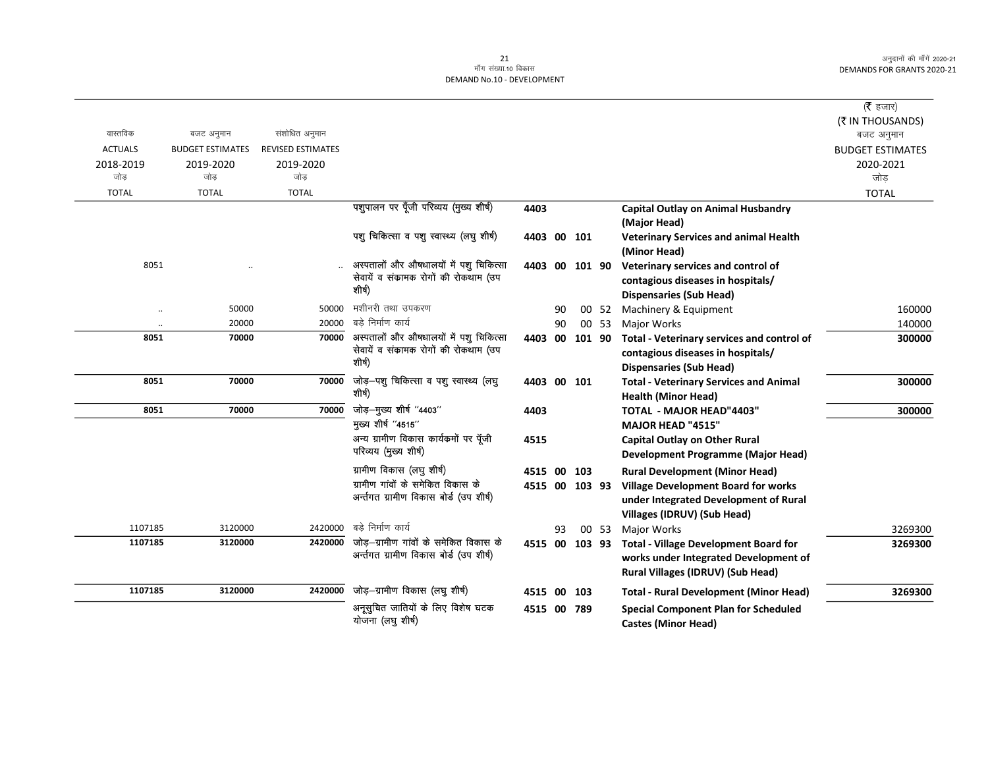|                      |                         |                          |                                                |                |    |     |       |                                               | ( <b>रै</b> हजार)<br>(₹ IN THOUSANDS) |
|----------------------|-------------------------|--------------------------|------------------------------------------------|----------------|----|-----|-------|-----------------------------------------------|---------------------------------------|
| वास्तविक             | बजट अनुमान              | संशोधित अनुमान           |                                                |                |    |     |       |                                               | बजट अनुमान                            |
| <b>ACTUALS</b>       | <b>BUDGET ESTIMATES</b> | <b>REVISED ESTIMATES</b> |                                                |                |    |     |       |                                               | <b>BUDGET ESTIMATES</b>               |
| 2018-2019            | 2019-2020               | 2019-2020                |                                                |                |    |     |       |                                               | 2020-2021                             |
| जोड                  | जोड                     | जोड                      |                                                |                |    |     |       |                                               | जोड                                   |
| <b>TOTAL</b>         | <b>TOTAL</b>            | <b>TOTAL</b>             |                                                |                |    |     |       |                                               | <b>TOTAL</b>                          |
|                      |                         |                          | पशुपालन पर पूँजी परिव्यय (मुख्य शीर्ष)         | 4403           |    |     |       | <b>Capital Outlay on Animal Husbandry</b>     |                                       |
|                      |                         |                          |                                                |                |    |     |       | (Major Head)                                  |                                       |
|                      |                         |                          | पशु चिकित्सा व पशु स्वास्थ्य (लघु शीर्ष)       | 4403 00 101    |    |     |       | <b>Veterinary Services and animal Health</b>  |                                       |
|                      |                         |                          |                                                |                |    |     |       | (Minor Head)                                  |                                       |
| 8051                 |                         |                          | अस्पतालों और औषधालयों में पशु चिकित्सा         | 4403 00 101 90 |    |     |       | Veterinary services and control of            |                                       |
|                      |                         |                          | सेवायें व संकामक रोगों की रोकथाम (उप<br>शीर्ष) |                |    |     |       | contagious diseases in hospitals/             |                                       |
|                      |                         |                          |                                                |                |    |     |       | <b>Dispensaries (Sub Head)</b>                |                                       |
| $\ddot{\phantom{0}}$ | 50000                   | 50000                    | मशीनरी तथा उपकरण                               |                | 90 |     | 00 52 | Machinery & Equipment                         | 160000                                |
| $\ddot{\phantom{0}}$ | 20000                   | 20000                    | बडे निर्माण कार्य                              |                | 90 |     | 00 53 | <b>Major Works</b>                            | 140000                                |
| 8051                 | 70000                   | 70000                    | अस्पतालों और औषधालयों में पशु चिकित्सा         | 4403 00 101 90 |    |     |       | Total - Veterinary services and control of    | 300000                                |
|                      |                         |                          | सेवायें व संकामक रोगों की रोकथाम (उप<br>शीर्ष) |                |    |     |       | contagious diseases in hospitals/             |                                       |
|                      |                         |                          |                                                |                |    |     |       | <b>Dispensaries (Sub Head)</b>                |                                       |
| 8051                 | 70000                   | 70000                    | जोड़-पशु चिकित्सा व पशु स्वास्थ्य (लघु         | 4403 00 101    |    |     |       | <b>Total - Veterinary Services and Animal</b> | 300000                                |
|                      |                         |                          | शीर्ष)                                         |                |    |     |       | <b>Health (Minor Head)</b>                    |                                       |
| 8051                 | 70000                   | 70000                    | जोड़-मुख्य शीर्ष "4403"                        | 4403           |    |     |       | TOTAL - MAJOR HEAD"4403"                      | 300000                                |
|                      |                         |                          | मुख्य शीर्ष "4515"                             |                |    |     |       | <b>MAJOR HEAD "4515"</b>                      |                                       |
|                      |                         |                          | अन्य ग्रामीण विकास कार्यक्रमों पर पूँजी        | 4515           |    |     |       | <b>Capital Outlay on Other Rural</b>          |                                       |
|                      |                         |                          | परिव्यय (मुख्य शीर्ष)                          |                |    |     |       | <b>Development Programme (Major Head)</b>     |                                       |
|                      |                         |                          | ग्रामीण विकास (लघु शीर्ष)                      | 4515           | 00 | 103 |       | <b>Rural Development (Minor Head)</b>         |                                       |
|                      |                         |                          | ग्रामीण गांवों के समेकित विकास के              | 4515 00 103 93 |    |     |       | <b>Village Development Board for works</b>    |                                       |
|                      |                         |                          | अर्न्तगत ग्रामीण विकास बोर्ड (उप शीर्ष)        |                |    |     |       | under Integrated Development of Rural         |                                       |
|                      |                         |                          |                                                |                |    |     |       | Villages (IDRUV) (Sub Head)                   |                                       |
| 1107185              | 3120000                 | 2420000                  | बडे निर्माण कार्य                              |                | 93 |     | 00 53 | Major Works                                   | 3269300                               |
| 1107185              | 3120000                 | 2420000                  | जोड़—ग्रामीण गांवों के समेकित विकास के         | 4515 00 103 93 |    |     |       | <b>Total - Village Development Board for</b>  | 3269300                               |
|                      |                         |                          | अर्न्तगत ग्रामीण विकास बोर्ड (उप शीर्ष)        |                |    |     |       | works under Integrated Development of         |                                       |
|                      |                         |                          |                                                |                |    |     |       | Rural Villages (IDRUV) (Sub Head)             |                                       |
| 1107185              | 3120000                 | 2420000                  | जोड़—ग्रामीण विकास (लघु शीर्ष)                 | 4515 00 103    |    |     |       | <b>Total - Rural Development (Minor Head)</b> | 3269300                               |
|                      |                         |                          | अनूसुचित जातियों के लिए विशेष घटक              | 4515 00 789    |    |     |       | <b>Special Component Plan for Scheduled</b>   |                                       |
|                      |                         |                          | योजना (लघु शीर्ष)                              |                |    |     |       | <b>Castes (Minor Head)</b>                    |                                       |